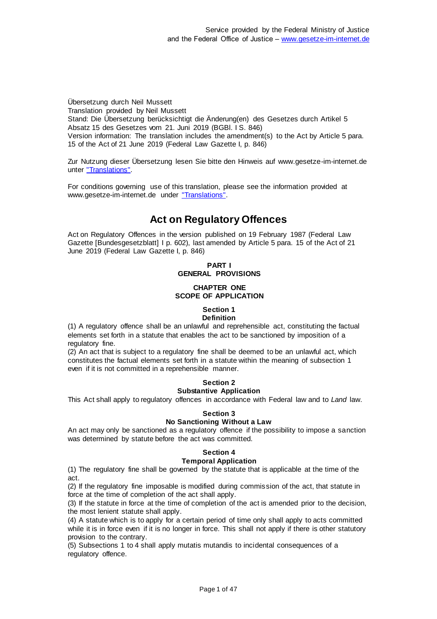Übersetzung durch Neil Mussett Translation provided by Neil Mussett Stand: Die Übersetzung berücksichtigt die Änderung(en) des Gesetzes durch Artikel 5 Absatz 15 des Gesetzes vom 21. Juni 2019 (BGBl. I S. 846) Version information: The translation includes the amendment(s) to the Act by Article 5 para. 15 of the Act of 21 June 2019 (Federal Law Gazette I, p. 846)

Zur Nutzung dieser Übersetzung lesen Sie bitte den Hinweis auf www.gesetze-im-internet.de unter ["Translations".](https://www.gesetze-im-internet.de/Teilliste_translations.html)

For conditions governing use of this translation, please see the information provided at www.gesetze-im-internet.de under ["Translations".](https://www.gesetze-im-internet.de/Teilliste_translations.html)

# **Act on Regulatory Offences**

Act on Regulatory Offences in the version published on 19 February 1987 (Federal Law Gazette [Bundesgesetzblatt] I p. 602), last amended by Article 5 para. 15 of the Act of 21 June 2019 (Federal Law Gazette I, p. 846)

# **PART I GENERAL PROVISIONS**

# **CHAPTER ONE SCOPE OF APPLICATION**

#### **Section 1 Definition**

(1) A regulatory offence shall be an unlawful and reprehensible act, constituting the factual elements set forth in a statute that enables the act to be sanctioned by imposition of a regulatory fine.

(2) An act that is subject to a regulatory fine shall be deemed to be an unlawful act, which constitutes the factual elements set forth in a statute within the meaning of subsection 1 even if it is not committed in a reprehensible manner.

#### **Section 2 Substantive Application**

This Act shall apply to regulatory offences in accordance with Federal law and to *Land* law.

# **Section 3**

# **No Sanctioning Without a Law**

An act may only be sanctioned as a regulatory offence if the possibility to impose a sanction was determined by statute before the act was committed.

# **Section 4**

### **Temporal Application**

(1) The regulatory fine shall be governed by the statute that is applicable at the time of the act.

(2) If the regulatory fine imposable is modified during commission of the act, that statute in force at the time of completion of the act shall apply.

(3) If the statute in force at the time of completion of the act is amended prior to the decision, the most lenient statute shall apply.

(4) A statute which is to apply for a certain period of time only shall apply to acts committed while it is in force even if it is no longer in force. This shall not apply if there is other statutory provision to the contrary.

(5) Subsections 1 to 4 shall apply mutatis mutandis to incidental consequences of a regulatory offence.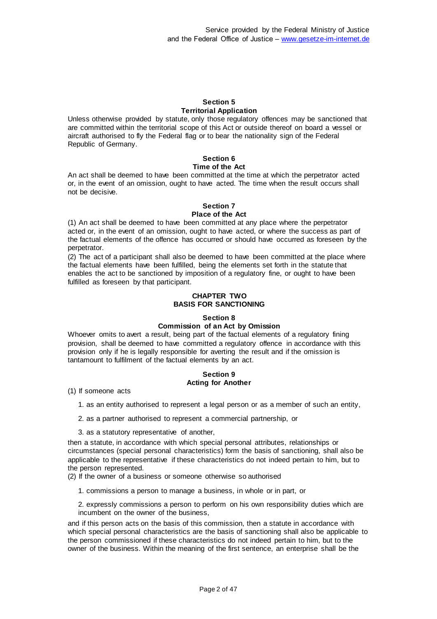#### **Section 5 Territorial Application**

Unless otherwise provided by statute, only those regulatory offences may be sanctioned that are committed within the territorial scope of this Act or outside thereof on board a vessel or aircraft authorised to fly the Federal flag or to bear the nationality sign of the Federal Republic of Germany.

### **Section 6 Time of the Act**

An act shall be deemed to have been committed at the time at which the perpetrator acted or, in the event of an omission, ought to have acted. The time when the result occurs shall not be decisive.

#### **Section 7 Place of the Act**

### (1) An act shall be deemed to have been committed at any place where the perpetrator acted or, in the event of an omission, ought to have acted, or where the success as part of the factual elements of the offence has occurred or should have occurred as foreseen by the perpetrator.

(2) The act of a participant shall also be deemed to have been committed at the place where the factual elements have been fulfilled, being the elements set forth in the statute that enables the act to be sanctioned by imposition of a regulatory fine, or ought to have been fulfilled as foreseen by that participant.

### **CHAPTER TWO BASIS FOR SANCTIONING**

# **Section 8 Commission of an Act by Omission**

Whoever omits to avert a result, being part of the factual elements of a regulatory fining provision, shall be deemed to have committed a regulatory offence in accordance with this provision only if he is legally responsible for averting the result and if the omission is tantamount to fulfilment of the factual elements by an act.

# **Section 9 Acting for Another**

(1) If someone acts

- 1. as an entity authorised to represent a legal person or as a member of such an entity,
- 2. as a partner authorised to represent a commercial partnership, or
- 3. as a statutory representative of another,

then a statute, in accordance with which special personal attributes, relationships or circumstances (special personal characteristics) form the basis of sanctioning, shall also be applicable to the representative if these characteristics do not indeed pertain to him, but to the person represented.

(2) If the owner of a business or someone otherwise so authorised

1. commissions a person to manage a business, in whole or in part, or

2. expressly commissions a person to perform on his own responsibility duties which are incumbent on the owner of the business,

and if this person acts on the basis of this commission, then a statute in accordance with which special personal characteristics are the basis of sanctioning shall also be applicable to the person commissioned if these characteristics do not indeed pertain to him, but to the owner of the business. Within the meaning of the first sentence, an enterprise shall be the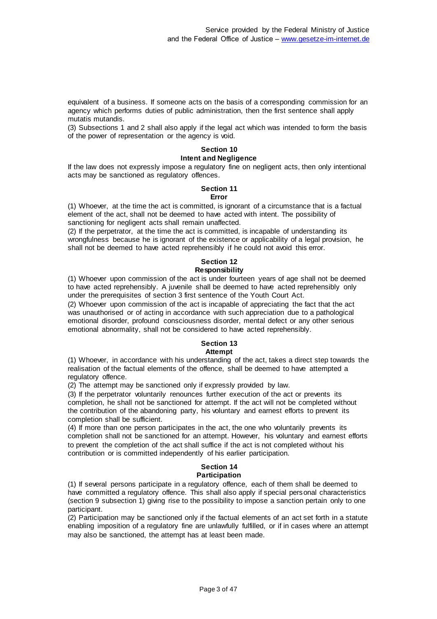equivalent of a business. If someone acts on the basis of a corresponding commission for an agency which performs duties of public administration, then the first sentence shall apply mutatis mutandis.

(3) Subsections 1 and 2 shall also apply if the legal act which was intended to form the basis of the power of representation or the agency is void.

# **Section 10**

# **Intent and Negligence**

If the law does not expressly impose a regulatory fine on negligent acts, then only intentional acts may be sanctioned as regulatory offences.

#### **Section 11 Error**

(1) Whoever, at the time the act is committed, is ignorant of a circumstance that is a factual element of the act, shall not be deemed to have acted with intent. The possibility of sanctioning for negligent acts shall remain unaffected.

(2) If the perpetrator, at the time the act is committed, is incapable of understanding its wrongfulness because he is ignorant of the existence or applicability of a legal provision, he shall not be deemed to have acted reprehensibly if he could not avoid this error.

### **Section 12 Responsibility**

(1) Whoever upon commission of the act is under fourteen years of age shall not be deemed to have acted reprehensibly. A juvenile shall be deemed to have acted reprehensibly only under the prerequisites of section 3 first sentence of the Youth Court Act.

(2) Whoever upon commission of the act is incapable of appreciating the fact that the act was unauthorised or of acting in accordance with such appreciation due to a pathological emotional disorder, profound consciousness disorder, mental defect or any other serious emotional abnormality, shall not be considered to have acted reprehensibly.

#### **Section 13 Attempt**

(1) Whoever, in accordance with his understanding of the act, takes a direct step towards the realisation of the factual elements of the offence, shall be deemed to have attempted a regulatory offence.

(2) The attempt may be sanctioned only if expressly provided by law.

(3) If the perpetrator voluntarily renounces further execution of the act or prevents its completion, he shall not be sanctioned for attempt. If the act will not be completed without the contribution of the abandoning party, his voluntary and earnest efforts to prevent its completion shall be sufficient.

(4) If more than one person participates in the act, the one who voluntarily prevents its completion shall not be sanctioned for an attempt. However, his voluntary and earnest efforts to prevent the completion of the act shall suffice if the act is not completed without his contribution or is committed independently of his earlier participation.

#### **Section 14 Participation**

(1) If several persons participate in a regulatory offence, each of them shall be deemed to have committed a regulatory offence. This shall also apply if special personal characteristics (section 9 subsection 1) giving rise to the possibility to impose a sanction pertain only to one participant.

(2) Participation may be sanctioned only if the factual elements of an act set forth in a statute enabling imposition of a regulatory fine are unlawfully fulfilled, or if in cases where an attempt may also be sanctioned, the attempt has at least been made.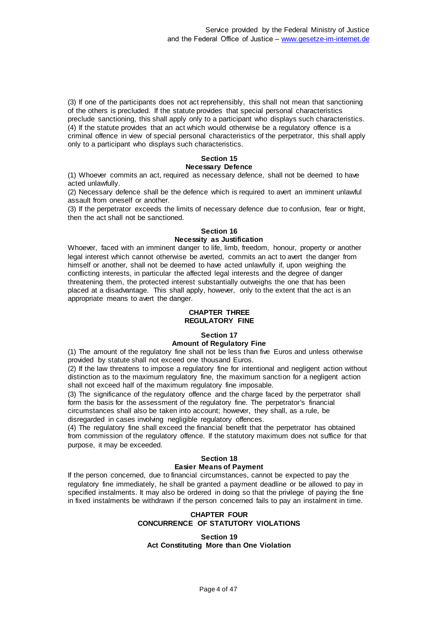(3) If one of the participants does not act reprehensibly, this shall not mean that sanctioning of the others is precluded. If the statute provides that special personal characteristics preclude sanctioning, this shall apply only to a participant who displays such characteristics. (4) If the statute provides that an act which would otherwise be a regulatory offence is a criminal offence in view of special personal characteristics of the perpetrator, this shall apply only to a participant who displays such characteristics.

#### **Section 15 Necessary Defence**

(1) Whoever commits an act, required as necessary defence, shall not be deemed to have acted unlawfully.

(2) Necessary defence shall be the defence which is required to avert an imminent unlawful assault from oneself or another.

(3) If the perpetrator exceeds the limits of necessary defence due to confusion, fear or fright, then the act shall not be sanctioned.

#### **Section 16 Necessity as Justification**

Whoever, faced with an imminent danger to life, limb, freedom, honour, property or another legal interest which cannot otherwise be averted, commits an act to avert the danger from himself or another, shall not be deemed to have acted unlawfully if, upon weighing the conflicting interests, in particular the affected legal interests and the degree of danger threatening them, the protected interest substantially outweighs the one that has been placed at a disadvantage. This shall apply, however, only to the extent that the act is an appropriate means to avert the danger.

# **CHAPTER THREE REGULATORY FINE**

# **Section 17**

### **Amount of Regulatory Fine**

(1) The amount of the regulatory fine shall not be less than five Euros and unless otherwise provided by statute shall not exceed one thousand Euros.

(2) If the law threatens to impose a regulatory fine for intentional and negligent action without distinction as to the maximum regulatory fine, the maximum sanction for a negligent action shall not exceed half of the maximum regulatory fine imposable.

(3) The significance of the regulatory offence and the charge faced by the perpetrator shall form the basis for the assessment of the regulatory fine. The perpetrator's financial circumstances shall also be taken into account; however, they shall, as a rule, be disregarded in cases involving negligible regulatory offences.

(4) The regulatory fine shall exceed the financial benefit that the perpetrator has obtained from commission of the regulatory offence. If the statutory maximum does not suffice for that purpose, it may be exceeded.

# **Section 18**

# **Easier Means of Payment**

If the person concerned, due to financial circumstances, cannot be expected to pay the regulatory fine immediately, he shall be granted a payment deadline or be allowed to pay in specified instalments. It may also be ordered in doing so that the privilege of paying the fine in fixed instalments be withdrawn if the person concerned fails to pay an instalment in time.

### **CHAPTER FOUR CONCURRENCE OF STATUTORY VIOLATIONS**

**Section 19 Act Constituting More than One Violation**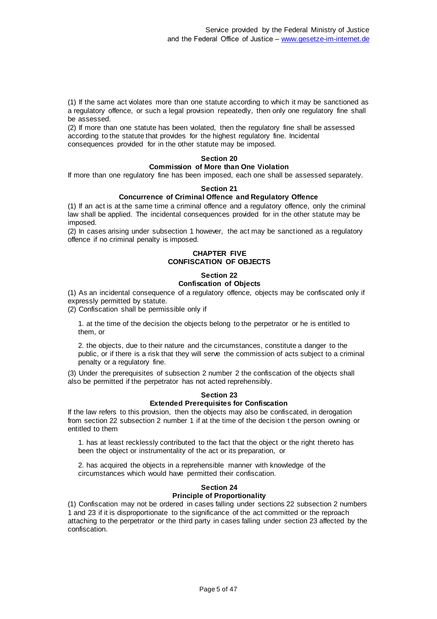(1) If the same act violates more than one statute according to which it may be sanctioned as a regulatory offence, or such a legal provision repeatedly, then only one regulatory fine shall be assessed.

(2) If more than one statute has been violated, then the regulatory fine shall be assessed according to the statute that provides for the highest regulatory fine. Incidental consequences provided for in the other statute may be imposed.

# **Section 20**

#### **Commission of More than One Violation**

If more than one regulatory fine has been imposed, each one shall be assessed separately.

### **Section 21**

# **Concurrence of Criminal Offence and Regulatory Offence**

(1) If an act is at the same time a criminal offence and a regulatory offence, only the criminal law shall be applied. The incidental consequences provided for in the other statute may be imposed.

(2) In cases arising under subsection 1 however, the act may be sanctioned as a regulatory offence if no criminal penalty is imposed.

# **CHAPTER FIVE CONFISCATION OF OBJECTS**

# **Section 22**

### **Confiscation of Objects**

(1) As an incidental consequence of a regulatory offence, objects may be confiscated only if expressly permitted by statute.

(2) Confiscation shall be permissible only if

1. at the time of the decision the objects belong to the perpetrator or he is entitled to them, or

2. the objects, due to their nature and the circumstances, constitute a danger to the public, or if there is a risk that they will serve the commission of acts subject to a criminal penalty or a regulatory fine.

(3) Under the prerequisites of subsection 2 number 2 the confiscation of the objects shall also be permitted if the perpetrator has not acted reprehensibly.

### **Section 23**

## **Extended Prerequisites for Confiscation**

If the law refers to this provision, then the objects may also be confiscated, in derogation from section 22 subsection 2 number 1 if at the time of the decision t the person owning or entitled to them

1. has at least recklessly contributed to the fact that the object or the right thereto has been the object or instrumentality of the act or its preparation, or

2. has acquired the objects in a reprehensible manner with knowledge of the circumstances which would have permitted their confiscation.

#### **Section 24 Principle of Proportionality**

(1) Confiscation may not be ordered in cases falling under sections 22 subsection 2 numbers 1 and 23 if it is disproportionate to the significance of the act committed or the reproach attaching to the perpetrator or the third party in cases falling under section 23 affected by the confiscation.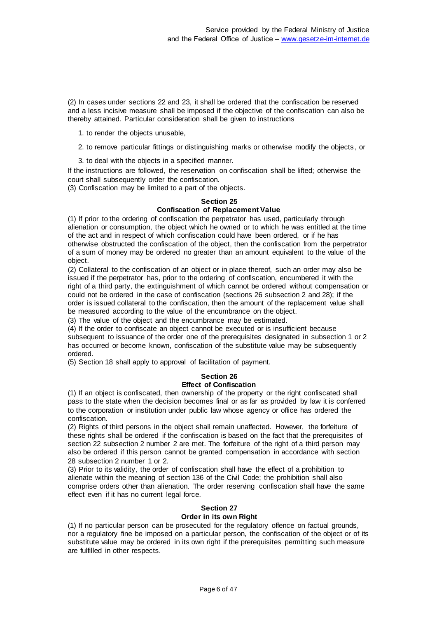(2) In cases under sections 22 and 23, it shall be ordered that the confiscation be reserved and a less incisive measure shall be imposed if the objective of the confiscation can also be thereby attained. Particular consideration shall be given to instructions

- 1. to render the objects unusable,
- 2. to remove particular fittings or distinguishing marks or otherwise modify the objects , or
- 3. to deal with the objects in a specified manner.

If the instructions are followed, the reservation on confiscation shall be lifted; otherwise the court shall subsequently order the confiscation.

(3) Confiscation may be limited to a part of the objects.

#### **Section 25**

### **Confiscation of Replacement Value**

(1) If prior to the ordering of confiscation the perpetrator has used, particularly through alienation or consumption, the object which he owned or to which he was entitled at the time of the act and in respect of which confiscation could have been ordered, or if he has otherwise obstructed the confiscation of the object, then the confiscation from the perpetrator of a sum of money may be ordered no greater than an amount equivalent to the value of the object.

(2) Collateral to the confiscation of an object or in place thereof, such an order may also be issued if the perpetrator has, prior to the ordering of confiscation, encumbered it with the right of a third party, the extinguishment of which cannot be ordered without compensation or could not be ordered in the case of confiscation (sections 26 subsection 2 and 28); if the order is issued collateral to the confiscation, then the amount of the replacement value shall be measured according to the value of the encumbrance on the object.

(3) The value of the object and the encumbrance may be estimated.

(4) If the order to confiscate an object cannot be executed or is insufficient because subsequent to issuance of the order one of the prerequisites designated in subsection 1 or 2 has occurred or become known, confiscation of the substitute value may be subsequently ordered.

(5) Section 18 shall apply to approval of facilitation of payment.

### **Section 26**

### **Effect of Confiscation**

(1) If an object is confiscated, then ownership of the property or the right confiscated shall pass to the state when the decision becomes final or as far as provided by law it is conferred to the corporation or institution under public law whose agency or office has ordered the confiscation.

(2) Rights of third persons in the object shall remain unaffected. However, the forfeiture of these rights shall be ordered if the confiscation is based on the fact that the prerequisites of section 22 subsection 2 number 2 are met. The forfeiture of the right of a third person may also be ordered if this person cannot be granted compensation in accordance with section 28 subsection 2 number 1 or 2.

(3) Prior to its validity, the order of confiscation shall have the effect of a prohibition to alienate within the meaning of section 136 of the Civil Code; the prohibition shall also comprise orders other than alienation. The order reserving confiscation shall have the same effect even if it has no current legal force.

### **Section 27**

### **Order in its own Right**

(1) If no particular person can be prosecuted for the regulatory offence on factual grounds, nor a regulatory fine be imposed on a particular person, the confiscation of the object or of its substitute value may be ordered in its own right if the prerequisites permitting such measure are fulfilled in other respects.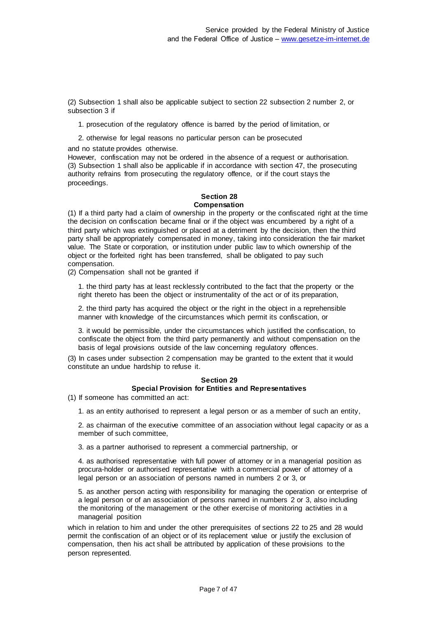(2) Subsection 1 shall also be applicable subject to section 22 subsection 2 number 2, or subsection 3 if

- 1. prosecution of the regulatory offence is barred by the period of limitation, or
- 2. otherwise for legal reasons no particular person can be prosecuted

and no statute provides otherwise.

However, confiscation may not be ordered in the absence of a request or authorisation. (3) Subsection 1 shall also be applicable if in accordance with section 47, the prosecuting authority refrains from prosecuting the regulatory offence, or if the court stays the proceedings.

#### **Section 28 Compensation**

(1) If a third party had a claim of ownership in the property or the confiscated right at the time the decision on confiscation became final or if the object was encumbered by a right of a third party which was extinguished or placed at a detriment by the decision, then the third party shall be appropriately compensated in money, taking into consideration the fair market value. The State or corporation, or institution under public law to which ownership of the object or the forfeited right has been transferred, shall be obligated to pay such compensation.

(2) Compensation shall not be granted if

1. the third party has at least recklessly contributed to the fact that the property or the right thereto has been the object or instrumentality of the act or of its preparation,

2. the third party has acquired the object or the right in the object in a reprehensible manner with knowledge of the circumstances which permit its confiscation, or

3. it would be permissible, under the circumstances which justified the confiscation, to confiscate the object from the third party permanently and without compensation on the basis of legal provisions outside of the law concerning regulatory offences.

(3) In cases under subsection 2 compensation may be granted to the extent that it would constitute an undue hardship to refuse it.

#### **Section 29 Special Provision for Entities and Representatives**

(1) If someone has committed an act:

1. as an entity authorised to represent a legal person or as a member of such an entity,

2. as chairman of the executive committee of an association without legal capacity or as a member of such committee,

3. as a partner authorised to represent a commercial partnership, or

4. as authorised representative with full power of attorney or in a managerial position as procura-holder or authorised representative with a commercial power of attorney of a legal person or an association of persons named in numbers 2 or 3, or

5. as another person acting with responsibility for managing the operation or enterprise of a legal person or of an association of persons named in numbers 2 or 3, also including the monitoring of the management or the other exercise of monitoring activities in a managerial position

which in relation to him and under the other prerequisites of sections 22 to 25 and 28 would permit the confiscation of an object or of its replacement value or justify the exclusion of compensation, then his act shall be attributed by application of these provisions to the person represented.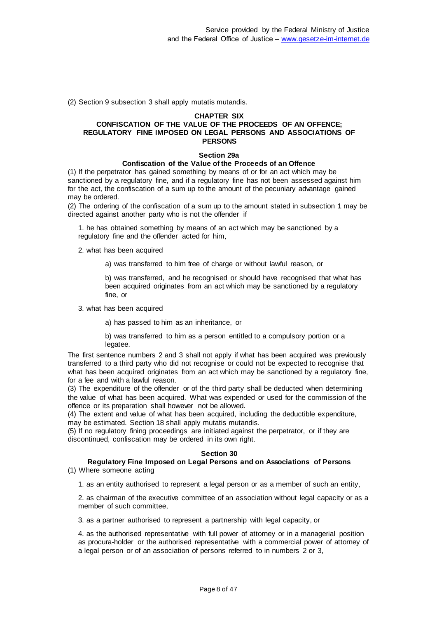(2) Section 9 subsection 3 shall apply mutatis mutandis.

#### **CHAPTER SIX**

### **CONFISCATION OF THE VALUE OF THE PROCEEDS OF AN OFFENCE; REGULATORY FINE IMPOSED ON LEGAL PERSONS AND ASSOCIATIONS OF PERSONS**

#### **Section 29a**

#### **Confiscation of the Value of the Proceeds of an Offence**

(1) If the perpetrator has gained something by means of or for an act which may be sanctioned by a regulatory fine, and if a regulatory fine has not been assessed against him for the act, the confiscation of a sum up to the amount of the pecuniary advantage gained may be ordered.

(2) The ordering of the confiscation of a sum up to the amount stated in subsection 1 may be directed against another party who is not the offender if

1. he has obtained something by means of an act which may be sanctioned by a regulatory fine and the offender acted for him,

2. what has been acquired

a) was transferred to him free of charge or without lawful reason, or

b) was transferred, and he recognised or should have recognised that what has been acquired originates from an act which may be sanctioned by a regulatory fine, or

3. what has been acquired

a) has passed to him as an inheritance, or

b) was transferred to him as a person entitled to a compulsory portion or a legatee.

The first sentence numbers 2 and 3 shall not apply if what has been acquired was previously transferred to a third party who did not recognise or could not be expected to recognise that what has been acquired originates from an act which may be sanctioned by a regulatory fine, for a fee and with a lawful reason.

(3) The expenditure of the offender or of the third party shall be deducted when determining the value of what has been acquired. What was expended or used for the commission of the offence or its preparation shall however not be allowed.

(4) The extent and value of what has been acquired, including the deductible expenditure, may be estimated. Section 18 shall apply mutatis mutandis.

(5) If no regulatory fining proceedings are initiated against the perpetrator, or if they are discontinued, confiscation may be ordered in its own right.

#### **Section 30**

#### **Regulatory Fine Imposed on Legal Persons and on Associations of Persons** (1) Where someone acting

1. as an entity authorised to represent a legal person or as a member of such an entity,

2. as chairman of the executive committee of an association without legal capacity or as a member of such committee,

3. as a partner authorised to represent a partnership with legal capacity, or

4. as the authorised representative with full power of attorney or in a managerial position as procura-holder or the authorised representative with a commercial power of attorney of a legal person or of an association of persons referred to in numbers 2 or 3,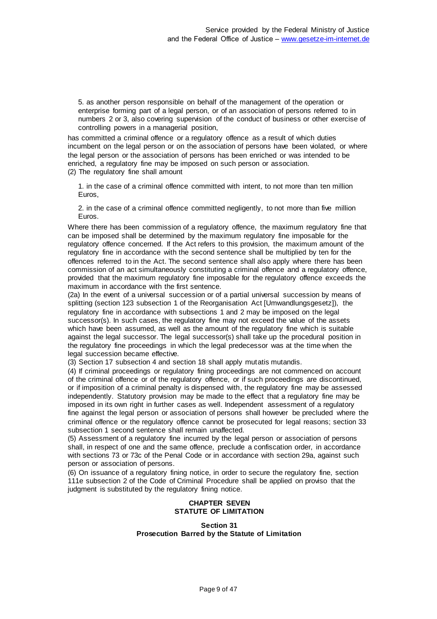5. as another person responsible on behalf of the management of the operation or enterprise forming part of a legal person, or of an association of persons referred to in numbers 2 or 3, also covering supervision of the conduct of business or other exercise of controlling powers in a managerial position,

has committed a criminal offence or a regulatory offence as a result of which duties incumbent on the legal person or on the association of persons have been violated, or where the legal person or the association of persons has been enriched or was intended to be enriched, a regulatory fine may be imposed on such person or association. (2) The regulatory fine shall amount

1. in the case of a criminal offence committed with intent, to not more than ten million Euros,

2. in the case of a criminal offence committed negligently, to not more than five million Euros.

Where there has been commission of a regulatory offence, the maximum regulatory fine that can be imposed shall be determined by the maximum regulatory fine imposable for the regulatory offence concerned. If the Act refers to this provision, the maximum amount of the regulatory fine in accordance with the second sentence shall be multiplied by ten for the offences referred to in the Act. The second sentence shall also apply where there has been commission of an act simultaneously constituting a criminal offence and a regulatory offence, provided that the maximum regulatory fine imposable for the regulatory offence exceeds the maximum in accordance with the first sentence.

(2a) In the event of a universal succession or of a partial universal succession by means of splitting (section 123 subsection 1 of the Reorganisation Act [Umwandlungsgesetz]), the regulatory fine in accordance with subsections 1 and 2 may be imposed on the legal successor(s). In such cases, the regulatory fine may not exceed the value of the assets which have been assumed, as well as the amount of the regulatory fine which is suitable against the legal successor. The legal successor(s) shall take up the procedural position in the regulatory fine proceedings in which the legal predecessor was at the time when the legal succession became effective.

(3) Section 17 subsection 4 and section 18 shall apply mutatis mutandis.

(4) If criminal proceedings or regulatory fining proceedings are not commenced on account of the criminal offence or of the regulatory offence, or if such proceedings are discontinued, or if imposition of a criminal penalty is dispensed with, the regulatory fine may be assessed independently. Statutory provision may be made to the effect that a regulatory fine may be imposed in its own right in further cases as well. Independent assessment of a regulatory fine against the legal person or association of persons shall however be precluded where the criminal offence or the regulatory offence cannot be prosecuted for legal reasons; section 33 subsection 1 second sentence shall remain unaffected.

(5) Assessment of a regulatory fine incurred by the legal person or association of persons shall, in respect of one and the same offence, preclude a confiscation order, in accordance with sections 73 or 73c of the Penal Code or in accordance with section 29a, against such person or association of persons.

(6) On issuance of a regulatory fining notice, in order to secure the regulatory fine, section 111e subsection 2 of the Code of Criminal Procedure shall be applied on proviso that the judgment is substituted by the regulatory fining notice.

### **CHAPTER SEVEN STATUTE OF LIMITATION**

#### **Section 31 Prosecution Barred by the Statute of Limitation**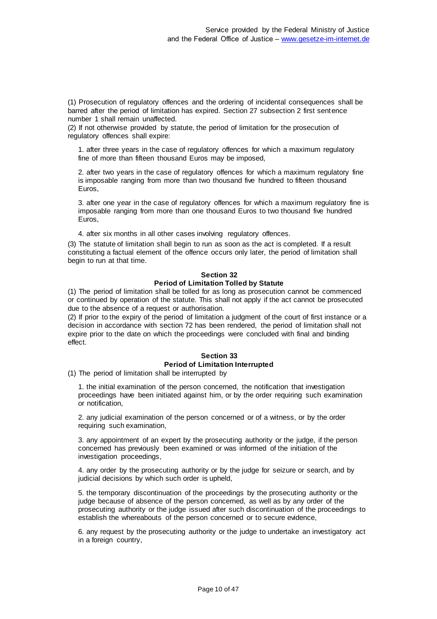(1) Prosecution of regulatory offences and the ordering of incidental consequences shall be barred after the period of limitation has expired. Section 27 subsection 2 first sentence number 1 shall remain unaffected.

(2) If not otherwise provided by statute, the period of limitation for the prosecution of regulatory offences shall expire:

1. after three years in the case of regulatory offences for which a maximum regulatory fine of more than fifteen thousand Euros may be imposed,

2. after two years in the case of regulatory offences for which a maximum regulatory fine is imposable ranging from more than two thousand five hundred to fifteen thousand Euros,

3. after one year in the case of regulatory offences for which a maximum regulatory fine is imposable ranging from more than one thousand Euros to two thousand five hundred Euros,

4. after six months in all other cases involving regulatory offences.

(3) The statute of limitation shall begin to run as soon as the act is completed. If a result constituting a factual element of the offence occurs only later, the period of limitation shall begin to run at that time.

# **Section 32**

#### **Period of Limitation Tolled by Statute**

(1) The period of limitation shall be tolled for as long as prosecution cannot be commenced or continued by operation of the statute. This shall not apply if the act cannot be prosecuted due to the absence of a request or authorisation.

(2) If prior to the expiry of the period of limitation a judgment of the court of first instance or a decision in accordance with section 72 has been rendered, the period of limitation shall not expire prior to the date on which the proceedings were concluded with final and binding effect.

#### **Section 33 Period of Limitation Interrupted**

(1) The period of limitation shall be interrupted by

1. the initial examination of the person concerned, the notification that investigation proceedings have been initiated against him, or by the order requiring such examination or notification,

2. any judicial examination of the person concerned or of a witness, or by the order requiring such examination,

3. any appointment of an expert by the prosecuting authority or the judge, if the person concerned has previously been examined or was informed of the initiation of the investigation proceedings,

4. any order by the prosecuting authority or by the judge for seizure or search, and by judicial decisions by which such order is upheld,

5. the temporary discontinuation of the proceedings by the prosecuting authority or the judge because of absence of the person concerned, as well as by any order of the prosecuting authority or the judge issued after such discontinuation of the proceedings to establish the whereabouts of the person concerned or to secure evidence,

6. any request by the prosecuting authority or the judge to undertake an investigatory act in a foreign country,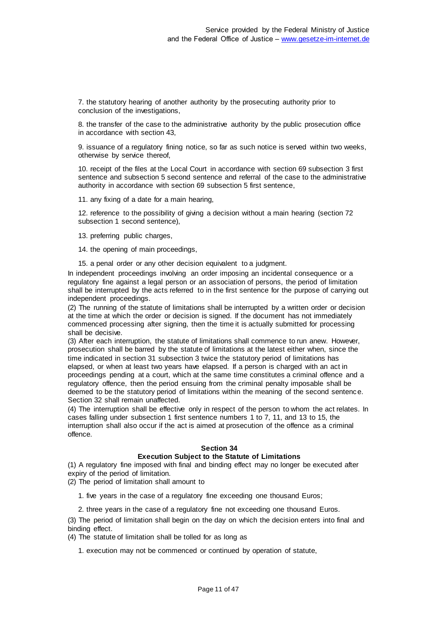7. the statutory hearing of another authority by the prosecuting authority prior to conclusion of the investigations,

8. the transfer of the case to the administrative authority by the public prosecution office in accordance with section 43,

9. issuance of a regulatory fining notice, so far as such notice is served within two weeks, otherwise by service thereof,

10. receipt of the files at the Local Court in accordance with section 69 subsection 3 first sentence and subsection 5 second sentence and referral of the case to the administrative authority in accordance with section 69 subsection 5 first sentence,

11. any fixing of a date for a main hearing,

12. reference to the possibility of giving a decision without a main hearing (section 72 subsection 1 second sentence),

13. preferring public charges,

14. the opening of main proceedings,

15. a penal order or any other decision equivalent to a judgment.

In independent proceedings involving an order imposing an incidental consequence or a regulatory fine against a legal person or an association of persons, the period of limitation shall be interrupted by the acts referred to in the first sentence for the purpose of carrying out independent proceedings.

(2) The running of the statute of limitations shall be interrupted by a written order or decision at the time at which the order or decision is signed. If the document has not immediately commenced processing after signing, then the time it is actually submitted for processing shall be decisive.

(3) After each interruption, the statute of limitations shall commence to run anew. However, prosecution shall be barred by the statute of limitations at the latest either when, since the time indicated in section 31 subsection 3 twice the statutory period of limitations has elapsed, or when at least two years have elapsed. If a person is charged with an act in proceedings pending at a court, which at the same time constitutes a criminal offence and a regulatory offence, then the period ensuing from the criminal penalty imposable shall be deemed to be the statutory period of limitations within the meaning of the second sentenc e. Section 32 shall remain unaffected.

(4) The interruption shall be effective only in respect of the person to whom the act relates. In cases falling under subsection 1 first sentence numbers 1 to 7, 11, and 13 to 15, the interruption shall also occur if the act is aimed at prosecution of the offence as a criminal offence.

# **Section 34**

# **Execution Subject to the Statute of Limitations**

(1) A regulatory fine imposed with final and binding effect may no longer be executed after expiry of the period of limitation.

(2) The period of limitation shall amount to

1. five years in the case of a regulatory fine exceeding one thousand Euros;

2. three years in the case of a regulatory fine not exceeding one thousand Euros.

(3) The period of limitation shall begin on the day on which the decision enters into final and binding effect.

(4) The statute of limitation shall be tolled for as long as

1. execution may not be commenced or continued by operation of statute,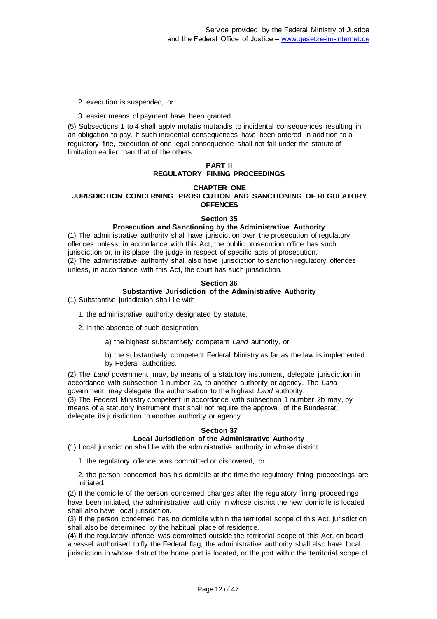2. execution is suspended, or

3. easier means of payment have been granted.

(5) Subsections 1 to 4 shall apply mutatis mutandis to incidental consequences resulting in an obligation to pay. If such incidental consequences have been ordered in addition to a regulatory fine, execution of one legal consequence shall not fall under the statute of limitation earlier than that of the others.

### **PART II REGULATORY FINING PROCEEDINGS**

#### **CHAPTER ONE JURISDICTION CONCERNING PROSECUTION AND SANCTIONING OF REGULATORY OFFENCES**

#### **Section 35**

#### **Prosecution and Sanctioning by the Administrative Authority**

(1) The administrative authority shall have jurisdiction over the prosecution of regulatory offences unless, in accordance with this Act, the public prosecution office has such jurisdiction or, in its place, the judge in respect of specific acts of prosecution. (2) The administrative authority shall also have jurisdiction to sanction regulatory offences unless, in accordance with this Act, the court has such jurisdiction.

#### **Section 36**

### **Substantive Jurisdiction of the Administrative Authority**

(1) Substantive jurisdiction shall lie with

1. the administrative authority designated by statute,

2. in the absence of such designation

a) the highest substantively competent *Land* authority, or

b) the substantively competent Federal Ministry as far as the law is implemented by Federal authorities.

(2) The *Land* government may, by means of a statutory instrument, delegate jurisdiction in accordance with subsection 1 number 2a, to another authority or agency. The *Land* government may delegate the authorisation to the highest *Land* authority.

(3) The Federal Ministry competent in accordance with subsection 1 number 2b may, by means of a statutory instrument that shall not require the approval of the Bundesrat, delegate its jurisdiction to another authority or agency.

### **Section 37**

# **Local Jurisdiction of the Administrative Authority**

(1) Local jurisdiction shall lie with the administrative authority in whose district

1. the regulatory offence was committed or discovered, or

2. the person concerned has his domicile at the time the regulatory fining proceedings are initiated.

(2) If the domicile of the person concerned changes after the regulatory fining proceedings have been initiated, the administrative authority in whose district the new domicile is located shall also have local jurisdiction.

(3) If the person concerned has no domicile within the territorial scope of this Act, jurisdiction shall also be determined by the habitual place of residence.

(4) If the regulatory offence was committed outside the territorial scope of this Act, on board a vessel authorised to fly the Federal flag, the administrative authority shall also have local jurisdiction in whose district the home port is located, or the port within the territorial scope of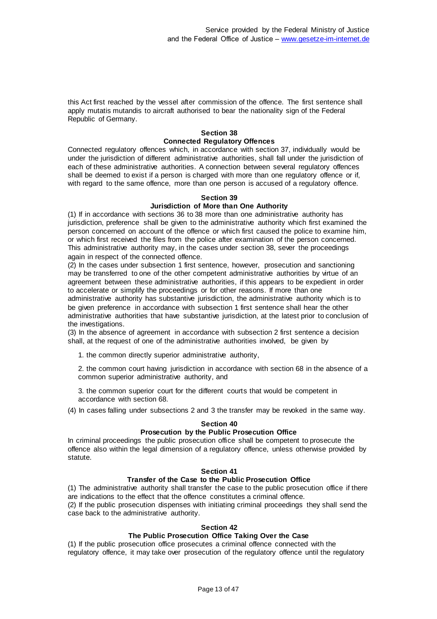this Act first reached by the vessel after commission of the offence. The first sentence shall apply mutatis mutandis to aircraft authorised to bear the nationality sign of the Federal Republic of Germany.

# **Section 38**

# **Connected Regulatory Offences**

Connected regulatory offences which, in accordance with section 37, individually would be under the jurisdiction of different administrative authorities, shall fall under the jurisdiction of each of these administrative authorities. A connection between several regulatory offences shall be deemed to exist if a person is charged with more than one regulatory offence or if, with regard to the same offence, more than one person is accused of a regulatory offence.

### **Section 39**

# **Jurisdiction of More than One Authority**

(1) If in accordance with sections 36 to 38 more than one administrative authority has jurisdiction, preference shall be given to the administrative authority which first examined the person concerned on account of the offence or which first caused the police to examine him, or which first received the files from the police after examination of the person concerned. This administrative authority may, in the cases under section 38, sever the proceedings again in respect of the connected offence.

(2) In the cases under subsection 1 first sentence, however, prosecution and sanctioning may be transferred to one of the other competent administrative authorities by virtue of an agreement between these administrative authorities, if this appears to be expedient in order to accelerate or simplify the proceedings or for other reasons. If more than one administrative authority has substantive jurisdiction, the administrative authority which is to be given preference in accordance with subsection 1 first sentence shall hear the other administrative authorities that have substantive jurisdiction, at the latest prior to conclusion of the investigations.

(3) In the absence of agreement in accordance with subsection 2 first sentence a decision shall, at the request of one of the administrative authorities involved, be given by

1. the common directly superior administrative authority,

2. the common court having jurisdiction in accordance with section 68 in the absence of a common superior administrative authority, and

3. the common superior court for the different courts that would be competent in accordance with section 68.

(4) In cases falling under subsections 2 and 3 the transfer may be revoked in the same way.

#### **Section 40**

# **Prosecution by the Public Prosecution Office**

In criminal proceedings the public prosecution office shall be competent to prosecute the offence also within the legal dimension of a regulatory offence, unless otherwise provided by statute.

#### **Section 41**

# **Transfer of the Case to the Public Prosecution Office**

(1) The administrative authority shall transfer the case to the public prosecution office if there are indications to the effect that the offence constitutes a criminal offence.

(2) If the public prosecution dispenses with initiating criminal proceedings they shall send the case back to the administrative authority.

#### **Section 42**

### **The Public Prosecution Office Taking Over the Case**

(1) If the public prosecution office prosecutes a criminal offence connected with the regulatory offence, it may take over prosecution of the regulatory offence until the regulatory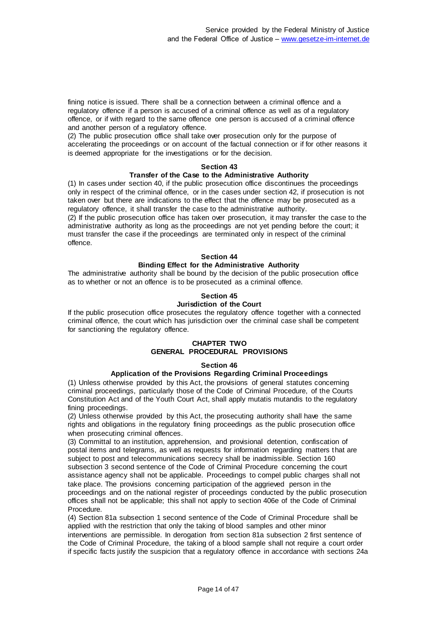fining notice is issued. There shall be a connection between a criminal offence and a regulatory offence if a person is accused of a criminal offence as well as of a regulatory offence, or if with regard to the same offence one person is accused of a criminal offence and another person of a regulatory offence.

(2) The public prosecution office shall take over prosecution only for the purpose of accelerating the proceedings or on account of the factual connection or if for other reasons it is deemed appropriate for the investigations or for the decision.

#### **Section 43**

### **Transfer of the Case to the Administrative Authority**

(1) In cases under section 40, if the public prosecution office discontinues the proceedings only in respect of the criminal offence, or in the cases under section 42, if prosecution is not taken over but there are indications to the effect that the offence may be prosecuted as a regulatory offence, it shall transfer the case to the administrative authority.

(2) If the public prosecution office has taken over prosecution, it may transfer the case to the administrative authority as long as the proceedings are not yet pending before the court; it must transfer the case if the proceedings are terminated only in respect of the criminal offence.

#### **Section 44**

### **Binding Effect for the Administrative Authority**

The administrative authority shall be bound by the decision of the public prosecution office as to whether or not an offence is to be prosecuted as a criminal offence.

#### **Section 45**

#### **Jurisdiction of the Court**

If the public prosecution office prosecutes the regulatory offence together with a connected criminal offence, the court which has jurisdiction over the criminal case shall be competent for sanctioning the regulatory offence.

### **CHAPTER TWO GENERAL PROCEDURAL PROVISIONS**

#### **Section 46**

# **Application of the Provisions Regarding Criminal Proceedings**

(1) Unless otherwise provided by this Act, the provisions of general statutes concerning criminal proceedings, particularly those of the Code of Criminal Procedure, of the Courts Constitution Act and of the Youth Court Act, shall apply mutatis mutandis to the regulatory fining proceedings.

(2) Unless otherwise provided by this Act, the prosecuting authority shall have the same rights and obligations in the regulatory fining proceedings as the public prosecution office when prosecuting criminal offences.

(3) Committal to an institution, apprehension, and provisional detention, confiscation of postal items and telegrams, as well as requests for information regarding matters that are subject to post and telecommunications secrecy shall be inadmissible. Section 160 subsection 3 second sentence of the Code of Criminal Procedure concerning the court assistance agency shall not be applicable. Proceedings to compel public charges shall not take place. The provisions concerning participation of the aggrieved person in the proceedings and on the national register of proceedings conducted by the public prosecution offices shall not be applicable; this shall not apply to section 406e of the Code of Criminal Procedure.

(4) Section 81a subsection 1 second sentence of the Code of Criminal Procedure shall be applied with the restriction that only the taking of blood samples and other minor interventions are permissible. In derogation from section 81a subsection 2 first sentence of the Code of Criminal Procedure, the taking of a blood sample shall not require a court order if specific facts justify the suspicion that a regulatory offence in accordance with sections 24a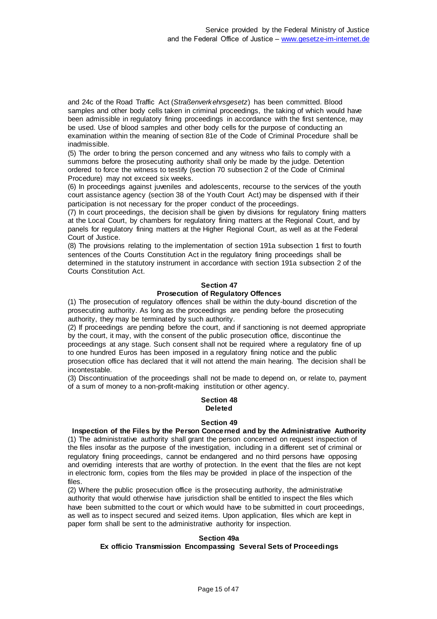and 24c of the Road Traffic Act (*Straßenverkehrsgesetz*) has been committed. Blood samples and other body cells taken in criminal proceedings, the taking of which would have been admissible in regulatory fining proceedings in accordance with the first sentence, may be used. Use of blood samples and other body cells for the purpose of conducting an examination within the meaning of section 81e of the Code of Criminal Procedure shall be inadmissible.

(5) The order to bring the person concerned and any witness who fails to comply with a summons before the prosecuting authority shall only be made by the judge. Detention ordered to force the witness to testify (section 70 subsection 2 of the Code of Criminal Procedure) may not exceed six weeks.

(6) In proceedings against juveniles and adolescents, recourse to the services of the youth court assistance agency (section 38 of the Youth Court Act) may be dispensed with if their participation is not necessary for the proper conduct of the proceedings.

(7) In court proceedings, the decision shall be given by divisions for regulatory fining matters at the Local Court, by chambers for regulatory fining matters at the Regional Court, and by panels for regulatory fining matters at the Higher Regional Court, as well as at the Federal Court of Justice.

(8) The provisions relating to the implementation of section 191a subsection 1 first to fourth sentences of the Courts Constitution Act in the regulatory fining proceedings shall be determined in the statutory instrument in accordance with section 191a subsection 2 of the Courts Constitution Act.

# **Section 47**

# **Prosecution of Regulatory Offences**

(1) The prosecution of regulatory offences shall be within the duty-bound discretion of the prosecuting authority. As long as the proceedings are pending before the prosecuting authority, they may be terminated by such authority.

(2) If proceedings are pending before the court, and if sanctioning is not deemed appropriate by the court, it may, with the consent of the public prosecution office, discontinue the proceedings at any stage. Such consent shall not be required where a regulatory fine of up to one hundred Euros has been imposed in a regulatory fining notice and the public prosecution office has declared that it will not attend the main hearing. The decision shal l be incontestable.

(3) Discontinuation of the proceedings shall not be made to depend on, or relate to, payment of a sum of money to a non-profit-making institution or other agency.

# **Section 48 Deleted**

### **Section 49**

#### **Inspection of the Files by the Person Concerned and by the Administrative Authority**

(1) The administrative authority shall grant the person concerned on request inspection of the files insofar as the purpose of the investigation, including in a different set of criminal or regulatory fining proceedings, cannot be endangered and no third persons have opposing and overriding interests that are worthy of protection. In the event that the files are not kept in electronic form, copies from the files may be provided in place of the inspection of the files.

(2) Where the public prosecution office is the prosecuting authority, the administrative authority that would otherwise have jurisdiction shall be entitled to inspect the files which have been submitted to the court or which would have to be submitted in court proceedings, as well as to inspect secured and seized items. Upon application, files which are kept in paper form shall be sent to the administrative authority for inspection.

#### **Section 49a**

### **Ex officio Transmission Encompassing Several Sets of Proceedings**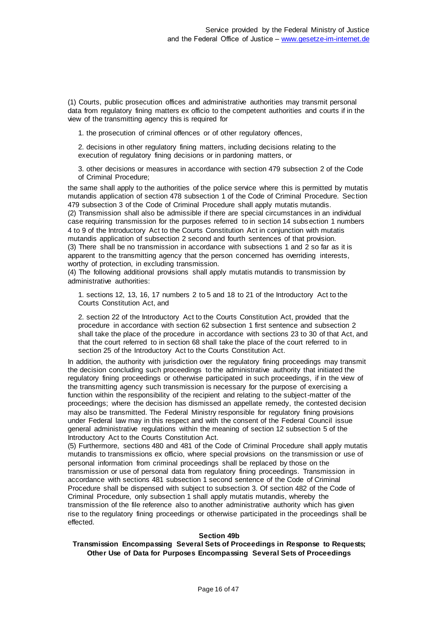(1) Courts, public prosecution offices and administrative authorities may transmit personal data from regulatory fining matters ex officio to the competent authorities and courts if in the view of the transmitting agency this is required for

1. the prosecution of criminal offences or of other regulatory offences,

2. decisions in other regulatory fining matters, including decisions relating to the execution of regulatory fining decisions or in pardoning matters, or

3. other decisions or measures in accordance with section 479 subsection 2 of the Code of Criminal Procedure;

the same shall apply to the authorities of the police service where this is permitted by mutatis mutandis application of section 478 subsection 1 of the Code of Criminal Procedure. Sec tion 479 subsection 3 of the Code of Criminal Procedure shall apply mutatis mutandis.

(2) Transmission shall also be admissible if there are special circumstances in an individual case requiring transmission for the purposes referred to in section 14 subsection 1 numbers 4 to 9 of the Introductory Act to the Courts Constitution Act in conjunction with mutatis mutandis application of subsection 2 second and fourth sentences of that provision. (3) There shall be no transmission in accordance with subsections 1 and 2 so far as it is apparent to the transmitting agency that the person concerned has overriding interests, worthy of protection, in excluding transmission.

(4) The following additional provisions shall apply mutatis mutandis to transmission by administrative authorities:

1. sections 12, 13, 16, 17 numbers 2 to 5 and 18 to 21 of the Introductory Act to the Courts Constitution Act, and

2. section 22 of the Introductory Act to the Courts Constitution Act, provided that the procedure in accordance with section 62 subsection 1 first sentence and subsection 2 shall take the place of the procedure in accordance with sections 23 to 30 of that Act, and that the court referred to in section 68 shall take the place of the court referred to in section 25 of the Introductory Act to the Courts Constitution Act.

In addition, the authority with jurisdiction over the regulatory fining proceedings may transmit the decision concluding such proceedings to the administrative authority that initiated the regulatory fining proceedings or otherwise participated in such proceedings, if in the view of the transmitting agency such transmission is necessary for the purpose of exercising a function within the responsibility of the recipient and relating to the subject-matter of the proceedings; where the decision has dismissed an appellate remedy, the contested decision may also be transmitted. The Federal Ministry responsible for regulatory fining provisions under Federal law may in this respect and with the consent of the Federal Council issue general administrative regulations within the meaning of section 12 subsection 5 of the Introductory Act to the Courts Constitution Act.

(5) Furthermore, sections 480 and 481 of the Code of Criminal Procedure shall apply mutatis mutandis to transmissions ex officio, where special provisions on the transmission or use of personal information from criminal proceedings shall be replaced by those on the transmission or use of personal data from regulatory fining proceedings. Transmission in accordance with sections 481 subsection 1 second sentence of the Code of Criminal Procedure shall be dispensed with subject to subsection 3. Of section 482 of the Code of Criminal Procedure, only subsection 1 shall apply mutatis mutandis, whereby the transmission of the file reference also to another administrative authority which has given rise to the regulatory fining proceedings or otherwise participated in the proceedings shall be effected.

#### **Section 49b**

### **Transmission Encompassing Several Sets of Proceedings in Response to Requests; Other Use of Data for Purposes Encompassing Several Sets of Proceedings**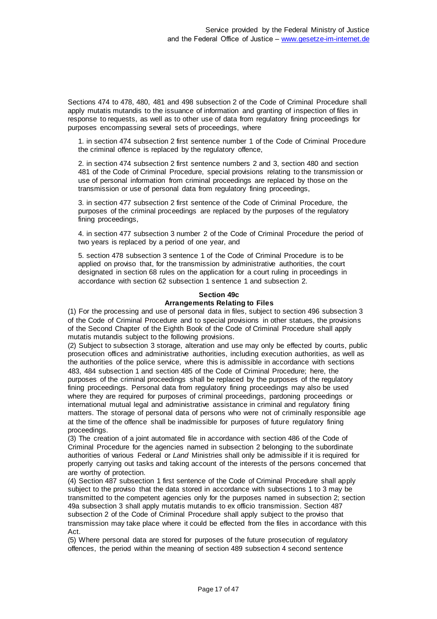Sections 474 to 478, 480, 481 and 498 subsection 2 of the Code of Criminal Procedure shall apply mutatis mutandis to the issuance of information and granting of inspection of files in response to requests, as well as to other use of data from regulatory fining proceedings for purposes encompassing several sets of proceedings, where

1. in section 474 subsection 2 first sentence number 1 of the Code of Criminal Procedure the criminal offence is replaced by the regulatory offence,

2. in section 474 subsection 2 first sentence numbers 2 and 3, section 480 and section 481 of the Code of Criminal Procedure, special provisions relating to the transmission or use of personal information from criminal proceedings are replaced by those on the transmission or use of personal data from regulatory fining proceedings,

3. in section 477 subsection 2 first sentence of the Code of Criminal Procedure, the purposes of the criminal proceedings are replaced by the purposes of the regulatory fining proceedings,

4. in section 477 subsection 3 number 2 of the Code of Criminal Procedure the period of two years is replaced by a period of one year, and

5. section 478 subsection 3 sentence 1 of the Code of Criminal Procedure is to be applied on proviso that, for the transmission by administrative authorities, the court designated in section 68 rules on the application for a court ruling in proceedings in accordance with section 62 subsection 1 sentence 1 and subsection 2.

# **Section 49c Arrangements Relating to Files**

(1) For the processing and use of personal data in files, subject to section 496 subsection 3 of the Code of Criminal Procedure and to special provisions in other statues, the provisions of the Second Chapter of the Eighth Book of the Code of Criminal Procedure shall apply mutatis mutandis subject to the following provisions.

(2) Subject to subsection 3 storage, alteration and use may only be effected by courts, public prosecution offices and administrative authorities, including execution authorities, as well as the authorities of the police service, where this is admissible in accordance with sections 483, 484 subsection 1 and section 485 of the Code of Criminal Procedure; here, the purposes of the criminal proceedings shall be replaced by the purposes of the regulatory fining proceedings. Personal data from regulatory fining proceedings may also be used where they are required for purposes of criminal proceedings, pardoning proceedings or international mutual legal and administrative assistance in criminal and regulatory fining matters. The storage of personal data of persons who were not of criminally responsible age at the time of the offence shall be inadmissible for purposes of future regulatory fining proceedings.

(3) The creation of a joint automated file in accordance with section 486 of the Code of Criminal Procedure for the agencies named in subsection 2 belonging to the subordinate authorities of various Federal or *Land* Ministries shall only be admissible if it is required for properly carrying out tasks and taking account of the interests of the persons concerned that are worthy of protection.

(4) Section 487 subsection 1 first sentence of the Code of Criminal Procedure shall apply subject to the proviso that the data stored in accordance with subsections 1 to 3 may be transmitted to the competent agencies only for the purposes named in subsection 2; section 49a subsection 3 shall apply mutatis mutandis to ex officio transmission. Section 487 subsection 2 of the Code of Criminal Procedure shall apply subject to the proviso that transmission may take place where it could be effected from the files in accordance with this Act.

(5) Where personal data are stored for purposes of the future prosecution of regulatory offences, the period within the meaning of section 489 subsection 4 second sentence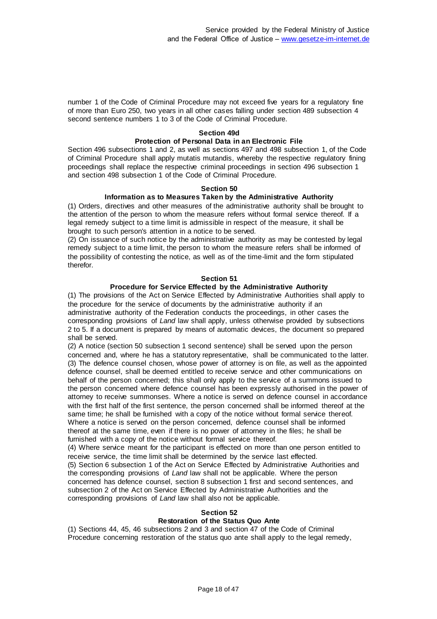number 1 of the Code of Criminal Procedure may not exceed five years for a regulatory fine of more than Euro 250, two years in all other cases falling under section 489 subsection 4 second sentence numbers 1 to 3 of the Code of Criminal Procedure.

#### **Section 49d**

# **Protection of Personal Data in an Electronic File**

Section 496 subsections 1 and 2, as well as sections 497 and 498 subsection 1, of the Code of Criminal Procedure shall apply mutatis mutandis, whereby the respective regulatory fining proceedings shall replace the respective criminal proceedings in section 496 subsection 1 and section 498 subsection 1 of the Code of Criminal Procedure.

#### **Section 50**

#### **Information as to Measures Taken by the Administrative Authority**

(1) Orders, directives and other measures of the administrative authority shall be brought to the attention of the person to whom the measure refers without formal service thereof. If a legal remedy subject to a time limit is admissible in respect of the measure, it shall be brought to such person's attention in a notice to be served.

(2) On issuance of such notice by the administrative authority as may be contested by legal remedy subject to a time limit, the person to whom the measure refers shall be informed of the possibility of contesting the notice, as well as of the time-limit and the form stipulated therefor.

#### **Section 51**

#### **Procedure for Service Effected by the Administrative Authority**

(1) The provisions of the Act on Service Effected by Administrative Authorities shall apply to the procedure for the service of documents by the administrative authority if an administrative authority of the Federation conducts the proceedings, in other cases the corresponding provisions of *Land* law shall apply, unless otherwise provided by subsections 2 to 5. If a document is prepared by means of automatic devices, the document so prepared shall be served.

(2) A notice (section 50 subsection 1 second sentence) shall be served upon the person concerned and, where he has a statutory representative, shall be communicated to the latter. (3) The defence counsel chosen, whose power of attorney is on file, as well as the appointed defence counsel, shall be deemed entitled to receive service and other communications on behalf of the person concerned; this shall only apply to the service of a summons issued to the person concerned where defence counsel has been expressly authorised in the power of attorney to receive summonses. Where a notice is served on defence counsel in accordance with the first half of the first sentence, the person concerned shall be informed thereof at the same time; he shall be furnished with a copy of the notice without formal service thereof. Where a notice is served on the person concerned, defence counsel shall be informed thereof at the same time, even if there is no power of attorney in the files; he shall be furnished with a copy of the notice without formal service thereof.

(4) Where service meant for the participant is effected on more than one person entitled to receive service, the time limit shall be determined by the service last effected. (5) Section 6 subsection 1 of the Act on Service Effected by Administrative Authorities and the corresponding provisions of *Land* law shall not be applicable. Where the person concerned has defence counsel, section 8 subsection 1 first and second sentences, and subsection 2 of the Act on Service Effected by Administrative Authorities and the corresponding provisions of *Land* law shall also not be applicable.

### **Section 52**

# **Restoration of the Status Quo Ante**

(1) Sections 44, 45, 46 subsections 2 and 3 and section 47 of the Code of Criminal Procedure concerning restoration of the status quo ante shall apply to the legal remedy,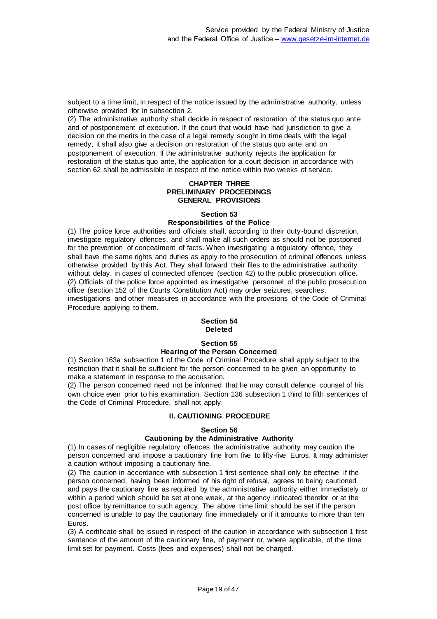subject to a time limit, in respect of the notice issued by the administrative authority, unless otherwise provided for in subsection 2.

(2) The administrative authority shall decide in respect of restoration of the status quo ante and of postponement of execution. If the court that would have had jurisdiction to give a decision on the merits in the case of a legal remedy sought in time deals with the legal remedy, it shall also give a decision on restoration of the status quo ante and on postponement of execution. If the administrative authority rejects the application for restoration of the status quo ante, the application for a court decision in accordance with section 62 shall be admissible in respect of the notice within two weeks of service.

#### **CHAPTER THREE PRELIMINARY PROCEEDINGS GENERAL PROVISIONS**

# **Section 53 Responsibilities of the Police**

(1) The police force authorities and officials shall, according to their duty-bound discretion, investigate regulatory offences, and shall make all such orders as should not be postponed for the prevention of concealment of facts. When investigating a regulatory offence, they shall have the same rights and duties as apply to the prosecution of criminal offences unless otherwise provided by this Act. They shall forward their files to the administrative authority without delay, in cases of connected offences (section 42) to the public prosecution office. (2) Officials of the police force appointed as investigative personnel of the public prosecution office (section 152 of the Courts Constitution Act) may order seizures, searches, investigations and other measures in accordance with the provisions of the Code of Criminal Procedure applying to them.

# **Section 54 Deleted**

# **Section 55**

# **Hearing of the Person Concerned**

(1) Section 163a subsection 1 of the Code of Criminal Procedure shall apply subject to the restriction that it shall be sufficient for the person concerned to be given an opportunity to make a statement in response to the accusation.

(2) The person concerned need not be informed that he may consult defence counsel of his own choice even prior to his examination. Section 136 subsection 1 third to fifth sentences of the Code of Criminal Procedure, shall not apply.

# **II. CAUTIONING PROCEDURE**

# **Section 56**

# **Cautioning by the Administrative Authority**

(1) In cases of negligible regulatory offences the administrative authority may caution the person concerned and impose a cautionary fine from five to fifty-five Euros. It may administer a caution without imposing a cautionary fine.

(2) The caution in accordance with subsection 1 first sentence shall only be effective if the person concerned, having been informed of his right of refusal, agrees to being cautioned and pays the cautionary fine as required by the administrative authority either immediately or within a period which should be set at one week, at the agency indicated therefor or at the post office by remittance to such agency. The above time limit should be set if the person concerned is unable to pay the cautionary fine immediately or if it amounts to more than ten Euros.

(3) A certificate shall be issued in respect of the caution in accordance with subsection 1 first sentence of the amount of the cautionary fine, of payment or, where applicable, of the time limit set for payment. Costs (fees and expenses) shall not be charged.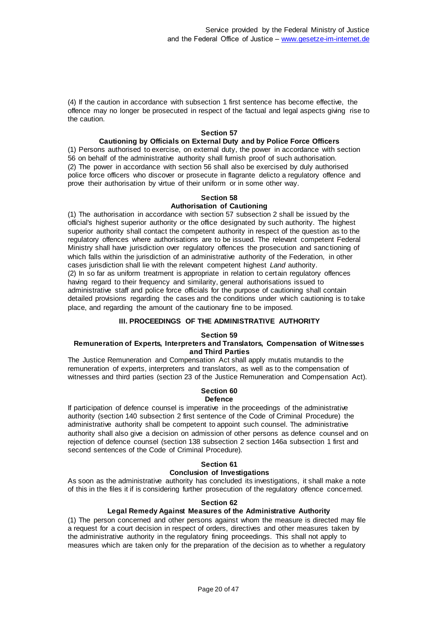(4) If the caution in accordance with subsection 1 first sentence has become effective, the offence may no longer be prosecuted in respect of the factual and legal aspects giving rise to the caution.

### **Section 57**

### **Cautioning by Officials on External Duty and by Police Force Officers**

(1) Persons authorised to exercise, on external duty, the power in accordance with section 56 on behalf of the administrative authority shall furnish proof of such authorisation. (2) The power in accordance with section 56 shall also be exercised by duly authorised police force officers who discover or prosecute in flagrante delicto a regulatory offence and prove their authorisation by virtue of their uniform or in some other way.

#### **Section 58**

# **Authorisation of Cautioning**

(1) The authorisation in accordance with section 57 subsection 2 shall be issued by the official's highest superior authority or the office designated by such authority. The highest superior authority shall contact the competent authority in respect of the question as to the regulatory offences where authorisations are to be issued. The relevant competent Federal Ministry shall have jurisdiction over regulatory offences the prosecution and sanc tioning of which falls within the jurisdiction of an administrative authority of the Federation, in other cases jurisdiction shall lie with the relevant competent highest *Land* authority. (2) In so far as uniform treatment is appropriate in relation to certain regulatory offences having regard to their frequency and similarity, general authorisations issued to administrative staff and police force officials for the purpose of cautioning shall contain detailed provisions regarding the cases and the conditions under which cautioning is to take place, and regarding the amount of the cautionary fine to be imposed.

#### **III. PROCEEDINGS OF THE ADMINISTRATIVE AUTHORITY**

#### **Section 59**

#### **Remuneration of Experts, Interpreters and Translators, Compensation of Witnesses and Third Parties**

The Justice Remuneration and Compensation Act shall apply mutatis mutandis to the remuneration of experts, interpreters and translators, as well as to the compensation of witnesses and third parties (section 23 of the Justice Remuneration and Compensation Act).

# **Section 60**

### **Defence**

If participation of defence counsel is imperative in the proceedings of the administrative authority (section 140 subsection 2 first sentence of the Code of Criminal Procedure) the administrative authority shall be competent to appoint such counsel. The administrative authority shall also give a decision on admission of other persons as defence counsel and on rejection of defence counsel (section 138 subsection 2 section 146a subsection 1 first and second sentences of the Code of Criminal Procedure).

# **Section 61**

### **Conclusion of Investigations**

As soon as the administrative authority has concluded its investigations, it shall make a note of this in the files it if is considering further prosecution of the regulatory offence concerned.

#### **Section 62**

### **Legal Remedy Against Measures of the Administrative Authority**

(1) The person concerned and other persons against whom the measure is directed may file a request for a court decision in respect of orders, directives and other measures taken by the administrative authority in the regulatory fining proceedings. This shall not apply to measures which are taken only for the preparation of the decision as to whether a regulatory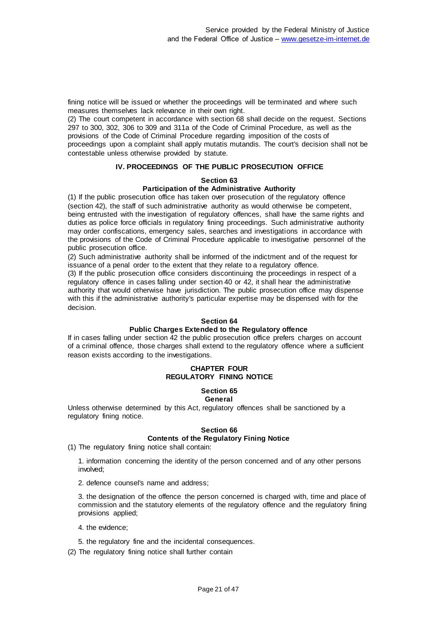fining notice will be issued or whether the proceedings will be terminated and where such measures themselves lack relevance in their own right.

(2) The court competent in accordance with section 68 shall decide on the request. Sections 297 to 300, 302, 306 to 309 and 311a of the Code of Criminal Procedure, as well as the provisions of the Code of Criminal Procedure regarding imposition of the costs of proceedings upon a complaint shall apply mutatis mutandis. The court's decision shall not be contestable unless otherwise provided by statute.

## **IV. PROCEEDINGS OF THE PUBLIC PROSECUTION OFFICE**

### **Section 63**

## **Participation of the Administrative Authority**

(1) If the public prosecution office has taken over prosecution of the regulatory offence (section 42), the staff of such administrative authority as would otherwise be competent, being entrusted with the investigation of regulatory offences, shall have the same rights and duties as police force officials in regulatory fining proceedings. Such administrative authority may order confiscations, emergency sales, searches and investigations in accordance with the provisions of the Code of Criminal Procedure applicable to investigative personnel of the public prosecution office.

(2) Such administrative authority shall be informed of the indictment and of the request for issuance of a penal order to the extent that they relate to a regulatory offence.

(3) If the public prosecution office considers discontinuing the proceedings in respect of a regulatory offence in cases falling under section 40 or 42, it shall hear the administrative authority that would otherwise have jurisdiction. The public prosecution office may dispense with this if the administrative authority's particular expertise may be dispensed with for the decision.

#### **Section 64**

### **Public Charges Extended to the Regulatory offence**

If in cases falling under section 42 the public prosecution office prefers charges on account of a criminal offence, those charges shall extend to the regulatory offence where a sufficient reason exists according to the investigations.

### **CHAPTER FOUR REGULATORY FINING NOTICE**

#### **Section 65 General**

Unless otherwise determined by this Act, regulatory offences shall be sanctioned by a regulatory fining notice.

### **Section 66**

# **Contents of the Regulatory Fining Notice**

(1) The regulatory fining notice shall contain:

1. information concerning the identity of the person concerned and of any other persons involved;

2. defence counsel's name and address;

3. the designation of the offence the person concerned is charged with, time and place of commission and the statutory elements of the regulatory offence and the regulatory fining provisions applied;

- 4. the evidence;
- 5. the regulatory fine and the incidental consequences.
- (2) The regulatory fining notice shall further contain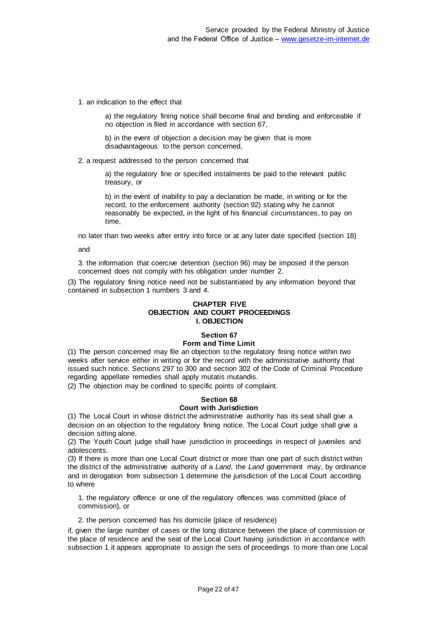1. an indication to the effect that

a) the regulatory fining notice shall become final and binding and enforceable if no objection is filed in accordance with section 67,

b) in the event of objection a decision may be given that is more disadvantageous to the person concerned,

2. a request addressed to the person concerned that

a) the regulatory fine or specified instalments be paid to the relevant public treasury, or

b) in the event of inability to pay a declaration be made, in writing or for the record, to the enforcement authority (section 92) stating why he cannot reasonably be expected, in the light of his financial circumstances, to pay on time,

no later than two weeks after entry into force or at any later date specified (section 18)

and

3. the information that coercive detention (section 96) may be imposed if the person concerned does not comply with his obligation under number 2.

(3) The regulatory fining notice need not be substantiated by any information beyond that contained in subsection 1 numbers 3 and 4.

### **CHAPTER FIVE OBJECTION AND COURT PROCEEDINGS I. OBJECTION**

#### **Section 67 Form and Time Limit**

# (1) The person concerned may file an objection to the regulatory fining notice within two weeks after service either in writing or for the record with the administrative authority that issued such notice. Sections 297 to 300 and section 302 of the Code of Criminal Procedure regarding appellate remedies shall apply mutatis mutandis.

(2) The objection may be confined to specific points of complaint.

# **Section 68**

# **Court with Jurisdiction**

(1) The Local Court in whose district the administrative authority has its seat shall give a decision on an objection to the regulatory fining notice. The Local Court judge shall give a decision sitting alone.

(2) The Youth Court judge shall have jurisdiction in proceedings in respect of juveniles and adolescents.

(3) If there is more than one Local Court district or more than one part of such district within the district of the administrative authority of a *Land*, the *Land* government may, by ordinance and in derogation from subsection 1 determine the jurisdiction of the Local Court according to where

1. the regulatory offence or one of the regulatory offences was committed (place of commission), or

2. the person concerned has his domicile (place of residence)

if, given the large number of cases or the long distance between the place of commission or the place of residence and the seat of the Local Court having jurisdiction in accordance with subsection 1 it appears appropriate to assign the sets of proceedings to more than one Local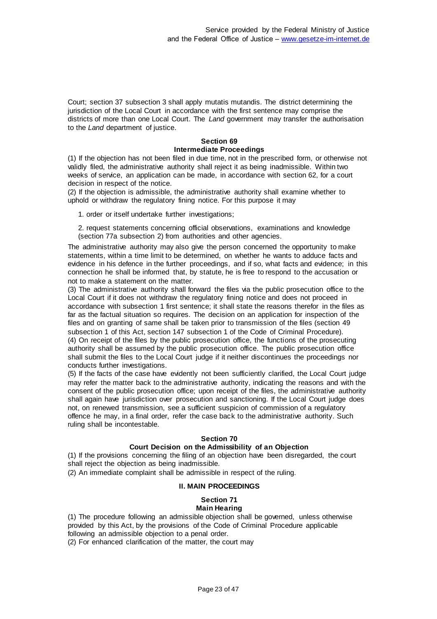Court; section 37 subsection 3 shall apply mutatis mutandis. The district determining the jurisdiction of the Local Court in accordance with the first sentence may comprise the districts of more than one Local Court. The *Land* government may transfer the authorisation to the *Land* department of justice.

# **Section 69 Intermediate Proceedings**

(1) If the objection has not been filed in due time, not in the prescribed form, or otherwise not validly filed, the administrative authority shall reject it as being inadmissible. Within two weeks of service, an application can be made, in accordance with section 62, for a court decision in respect of the notice.

(2) If the objection is admissible, the administrative authority shall examine whether to uphold or withdraw the regulatory fining notice. For this purpose it may

1. order or itself undertake further investigations;

2. request statements concerning official observations, examinations and knowledge (section 77a subsection 2) from authorities and other agencies.

The administrative authority may also give the person concerned the opportunity to make statements, within a time limit to be determined, on whether he wants to adduce facts and evidence in his defence in the further proceedings, and if so, what facts and evidence; in this connection he shall be informed that, by statute, he is free to respond to the accusation or not to make a statement on the matter.

(3) The administrative authority shall forward the files via the public prosecution office to the Local Court if it does not withdraw the regulatory fining notice and does not proceed in accordance with subsection 1 first sentence; it shall state the reasons therefor in the files as far as the factual situation so requires. The decision on an application for inspection of the files and on granting of same shall be taken prior to transmission of the files (section 49 subsection 1 of this Act, section 147 subsection 1 of the Code of Criminal Procedure). (4) On receipt of the files by the public prosecution office, the functions of the prosecuting authority shall be assumed by the public prosecution office. The public prosecution office shall submit the files to the Local Court judge if it neither discontinues the proceedings nor conducts further investigations.

(5) If the facts of the case have evidently not been sufficiently clarified, the Local Court judge may refer the matter back to the administrative authority, indicating the reasons and with the consent of the public prosecution office; upon receipt of the files, the administrative authority shall again have jurisdiction over prosecution and sanctioning. If the Local Court judge does not, on renewed transmission, see a sufficient suspicion of commission of a regulatory offence he may, in a final order, refer the case back to the administrative authority. Such ruling shall be incontestable.

# **Section 70**

# **Court Decision on the Admissibility of an Objection**

(1) If the provisions concerning the filing of an objection have been disregarded, the court shall reject the objection as being inadmissible.

(2) An immediate complaint shall be admissible in respect of the ruling.

### **II. MAIN PROCEEDINGS**

### **Section 71 Main Hearing**

(1) The procedure following an admissible objection shall be governed, unless otherwise provided by this Act, by the provisions of the Code of Criminal Procedure applicable following an admissible objection to a penal order.

(2) For enhanced clarification of the matter, the court may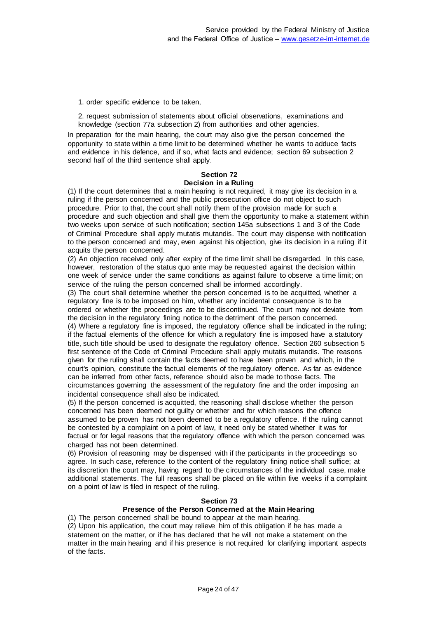1. order specific evidence to be taken,

2. request submission of statements about official observations, examinations and knowledge (section 77a subsection 2) from authorities and other agencies.

In preparation for the main hearing, the court may also give the person concerned the opportunity to state within a time limit to be determined whether he wants to adduce facts and evidence in his defence, and if so, what facts and evidence; section 69 subsection 2 second half of the third sentence shall apply.

# **Section 72 Decision in a Ruling**

(1) If the court determines that a main hearing is not required, it may give its decision in a ruling if the person concerned and the public prosecution office do not object to such procedure. Prior to that, the court shall notify them of the provision made for such a procedure and such objection and shall give them the opportunity to make a statement within two weeks upon service of such notification; section 145a subsections 1 and 3 of the Code of Criminal Procedure shall apply mutatis mutandis. The court may dispense with notification to the person concerned and may, even against his objection, give its decision in a ruling if it acquits the person concerned.

(2) An objection received only after expiry of the time limit shall be disregarded. In this case, however, restoration of the status quo ante may be requested against the decision within one week of service under the same conditions as against failure to observe a time limit; on service of the ruling the person concerned shall be informed accordingly.

(3) The court shall determine whether the person concerned is to be acquitted, whether a regulatory fine is to be imposed on him, whether any incidental consequence is to be ordered or whether the proceedings are to be discontinued. The court may not deviate from the decision in the regulatory fining notice to the detriment of the person concerned.

(4) Where a regulatory fine is imposed, the regulatory offence shall be indicated in the ruling; if the factual elements of the offence for which a regulatory fine is imposed have a statutory title, such title should be used to designate the regulatory offence. Section 260 subsection 5 first sentence of the Code of Criminal Procedure shall apply mutatis mutandis. The reasons given for the ruling shall contain the facts deemed to have been proven and which, in the court's opinion, constitute the factual elements of the regulatory offence. As far as evidence can be inferred from other facts, reference should also be made to those facts. The circumstances governing the assessment of the regulatory fine and the order imposing an incidental consequence shall also be indicated.

(5) If the person concerned is acquitted, the reasoning shall disclose whether the person concerned has been deemed not guilty or whether and for which reasons the offence assumed to be proven has not been deemed to be a regulatory offence. If the ruling cannot be contested by a complaint on a point of law, it need only be stated whether it was for factual or for legal reasons that the regulatory offence with which the person concerned was charged has not been determined.

(6) Provision of reasoning may be dispensed with if the participants in the proceedings so agree. In such case, reference to the content of the regulatory fining notice shall suffice; at its discretion the court may, having regard to the circumstances of the individual case, make additional statements. The full reasons shall be placed on file within five weeks if a complaint on a point of law is filed in respect of the ruling.

### **Section 73**

### **Presence of the Person Concerned at the Main Hearing**

(1) The person concerned shall be bound to appear at the main hearing.

(2) Upon his application, the court may relieve him of this obligation if he has made a statement on the matter, or if he has declared that he will not make a statement on the matter in the main hearing and if his presence is not required for clarifying important aspects of the facts.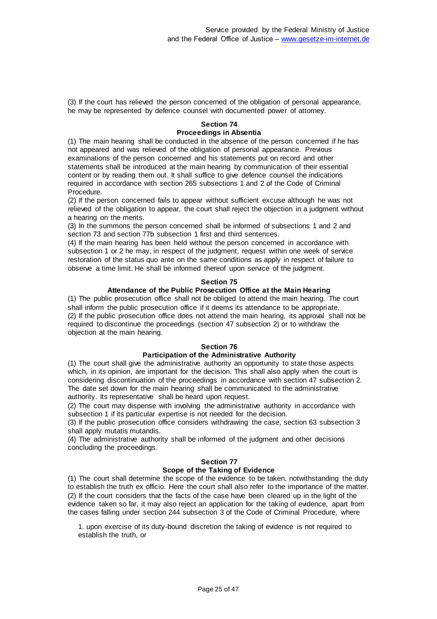(3) If the court has relieved the person concerned of the obligation of personal appearance, he may be represented by defence counsel with documented power of attorney.

### **Section 74 Proceedings in Absentia**

(1) The main hearing shall be conducted in the absence of the person concerned if he has not appeared and was relieved of the obligation of personal appearance. Previous examinations of the person concerned and his statements put on record and other statements shall be introduced at the main hearing by communication of their essential content or by reading them out. It shall suffice to give defence counsel the indications required in accordance with section 265 subsections 1 and 2 of the Code of Criminal Procedure.

(2) If the person concerned fails to appear without sufficient excuse although he was not relieved of the obligation to appear, the court shall reject the objection in a judgment without a hearing on the merits.

(3) In the summons the person concerned shall be informed of subsections 1 and 2 and section 73 and section 77b subsection 1 first and third sentences.

(4) If the main hearing has been held without the person concerned in accordance with subsection 1 or 2 he may, in respect of the judgment, request within one week of service restoration of the status quo ante on the same conditions as apply in respect of failure to observe a time limit. He shall be informed thereof upon service of the judgment.

### **Section 75**

## **Attendance of the Public Prosecution Office at the Main Hearing**

(1) The public prosecution office shall not be obliged to attend the main hearing. The court shall inform the public prosecution office if it deems its attendance to be appropriate. (2) If the public prosecution office does not attend the main hearing, its approval shall not be required to discontinue the proceedings (section 47 subsection 2) or to withdraw the objection at the main hearing.

# **Section 76**

# **Participation of the Administrative Authority**

(1) The court shall give the administrative authority an opportunity to state those aspects which, in its opinion, are important for the decision. This shall also apply when the court is considering discontinuation of the proceedings in accordance with section 47 subsection 2. The date set down for the main hearing shall be communicated to the administrative authority. Its representative shall be heard upon request.

(2) The court may dispense with involving the administrative authority in accordance with subsection 1 if its particular expertise is not needed for the decision.

(3) If the public prosecution office considers withdrawing the case, section 63 subsection 3 shall apply mutatis mutandis.

(4) The administrative authority shall be informed of the judgment and other decisions concluding the proceedings.

# **Section 77 Scope of the Taking of Evidence**

(1) The court shall determine the scope of the evidence to be taken, notwithstanding the duty to establish the truth ex officio. Here the court shall also refer to the importance of the matter. (2) If the court considers that the facts of the case have been cleared up in the light of the evidence taken so far, it may also reject an application for the taking of evidence, apart from the cases falling under section 244 subsection 3 of the Code of Criminal Procedure, where

1. upon exercise of its duty-bound discretion the taking of evidence is not required to establish the truth, or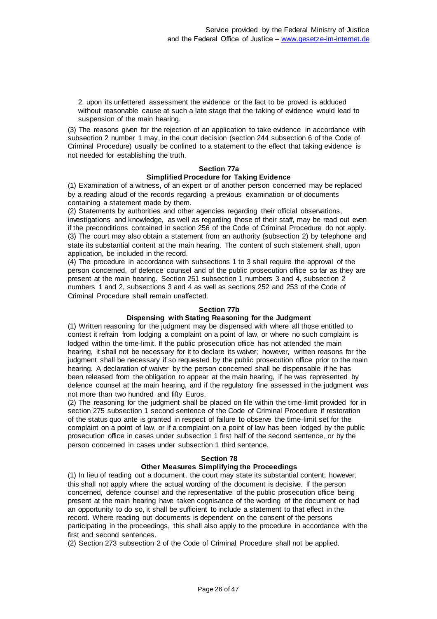2. upon its unfettered assessment the evidence or the fact to be proved is adduced without reasonable cause at such a late stage that the taking of evidence would lead to suspension of the main hearing.

(3) The reasons given for the rejection of an application to take evidence in accordance with subsection 2 number 1 may, in the court decision (section 244 subsection 6 of the Code of Criminal Procedure) usually be confined to a statement to the effect that taking evidence is not needed for establishing the truth.

#### **Section 77a**

#### **Simplified Procedure for Taking Evidence**

(1) Examination of a witness, of an expert or of another person concerned may be replaced by a reading aloud of the records regarding a previous examination or of documents containing a statement made by them.

(2) Statements by authorities and other agencies regarding their official observations, investigations and knowledge, as well as regarding those of their staff, may be read out even if the preconditions contained in section 256 of the Code of Criminal Procedure do not apply. (3) The court may also obtain a statement from an authority (subsection 2) by telephone and state its substantial content at the main hearing. The content of such statement shall, upon application, be included in the record.

(4) The procedure in accordance with subsections 1 to 3 shall require the approval of the person concerned, of defence counsel and of the public prosecution office so far as they are present at the main hearing. Section 251 subsection 1 numbers 3 and 4, subsection 2 numbers 1 and 2, subsections 3 and 4 as well as sections 252 and 253 of the Code of Criminal Procedure shall remain unaffected.

#### **Section 77b**

### **Dispensing with Stating Reasoning for the Judgment**

(1) Written reasoning for the judgment may be dispensed with where all those entitled to contest it refrain from lodging a complaint on a point of law, or where no such complaint is lodged within the time-limit. If the public prosecution office has not attended the main hearing, it shall not be necessary for it to declare its waiver; however, written reasons for the judgment shall be necessary if so requested by the public prosecution office prior to the main hearing. A declaration of waiver by the person concerned shall be dispensable if he has been released from the obligation to appear at the main hearing, if he was represented by defence counsel at the main hearing, and if the regulatory fine assessed in the judgment was not more than two hundred and fifty Euros.

(2) The reasoning for the judgment shall be placed on file within the time-limit provided for in section 275 subsection 1 second sentence of the Code of Criminal Procedure if restoration of the status quo ante is granted in respect of failure to observe the time-limit set for the complaint on a point of law, or if a complaint on a point of law has been lodged by the public prosecution office in cases under subsection 1 first half of the second sentence, or by the person concerned in cases under subsection 1 third sentence.

#### **Section 78**

### **Other Measures Simplifying the Proceedings**

(1) In lieu of reading out a document, the court may state its substantial content; however, this shall not apply where the actual wording of the document is decisive. If the person concerned, defence counsel and the representative of the public prosecution office being present at the main hearing have taken cognisance of the wording of the document or had an opportunity to do so, it shall be sufficient to include a statement to that effect in the record. Where reading out documents is dependent on the consent of the persons participating in the proceedings, this shall also apply to the procedure in accordance with the first and second sentences.

(2) Section 273 subsection 2 of the Code of Criminal Procedure shall not be applied.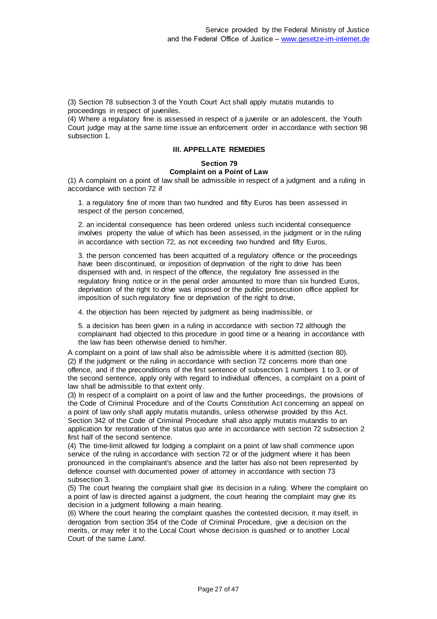(3) Section 78 subsection 3 of the Youth Court Act shall apply mutatis mutandis to proceedings in respect of juveniles.

(4) Where a regulatory fine is assessed in respect of a juvenile or an adolescent, the Youth Court judge may at the same time issue an enforcement order in accordance with section 98 subsection 1.

# **III. APPELLATE REMEDIES**

# **Section 79 Complaint on a Point of Law**

(1) A complaint on a point of law shall be admissible in respect of a judgment and a ruling in accordance with section 72 if

1. a regulatory fine of more than two hundred and fifty Euros has been assessed in respect of the person concerned,

2. an incidental consequence has been ordered unless such incidental consequence involves property the value of which has been assessed, in the judgment or in the ruling in accordance with section 72, as not exceeding two hundred and fifty Euros,

3. the person concerned has been acquitted of a regulatory offence or the proceedings have been discontinued, or imposition of deprivation of the right to drive has been dispensed with and, in respect of the offence, the regulatory fine assessed in the regulatory fining notice or in the penal order amounted to more than six hundred Euros, deprivation of the right to drive was imposed or the public prosecution office applied for imposition of such regulatory fine or deprivation of the right to drive,

4. the objection has been rejected by judgment as being inadmissible, or

5. a decision has been given in a ruling in accordance with section 72 although the complainant had objected to this procedure in good time or a hearing in accordance with the law has been otherwise denied to him/her.

A complaint on a point of law shall also be admissible where it is admitted (section 80). (2) If the judgment or the ruling in accordance with section 72 concerns more than one offence, and if the preconditions of the first sentence of subsection 1 numbers 1 to 3, or of the second sentence, apply only with regard to individual offences, a complaint on a point of law shall be admissible to that extent only.

(3) In respect of a complaint on a point of law and the further proceedings, the provisions of the Code of Criminal Procedure and of the Courts Constitution Act concerning an appeal on a point of law only shall apply mutatis mutandis, unless otherwise provided by this Act. Section 342 of the Code of Criminal Procedure shall also apply mutatis mutandis to an application for restoration of the status quo ante in accordance with section 72 subsection 2 first half of the second sentence.

(4) The time-limit allowed for lodging a complaint on a point of law shall commence upon service of the ruling in accordance with section 72 or of the judgment where it has been pronounced in the complainant's absence and the latter has also not been represented by defence counsel with documented power of attorney in accordance with section 73 subsection 3.

(5) The court hearing the complaint shall give its decision in a ruling. Where the complaint on a point of law is directed against a judgment, the court hearing the complaint may give its decision in a judgment following a main hearing.

(6) Where the court hearing the complaint quashes the contested decision, it may itself, in derogation from section 354 of the Code of Criminal Procedure, give a decision on the merits, or may refer it to the Local Court whose decision is quashed or to another Local Court of the same *Land*.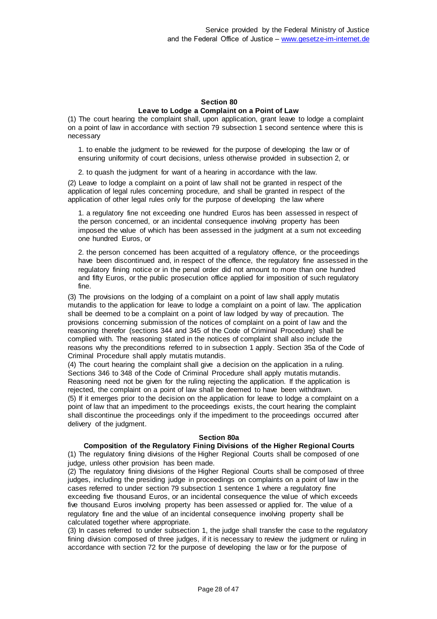#### **Section 80 Leave to Lodge a Complaint on a Point of Law**

(1) The court hearing the complaint shall, upon application, grant leave to lodge a complaint on a point of law in accordance with section 79 subsection 1 second sentence where this is necessary

1. to enable the judgment to be reviewed for the purpose of developing the law or of ensuring uniformity of court decisions, unless otherwise provided in subsection 2, or

2. to quash the judgment for want of a hearing in accordance with the law.

(2) Leave to lodge a complaint on a point of law shall not be granted in respect of the application of legal rules concerning procedure, and shall be granted in respect of the application of other legal rules only for the purpose of developing the law where

1. a regulatory fine not exceeding one hundred Euros has been assessed in respect of the person concerned, or an incidental consequence involving property has been imposed the value of which has been assessed in the judgment at a sum not exceeding one hundred Euros, or

2. the person concerned has been acquitted of a regulatory offence, or the proceedings have been discontinued and, in respect of the offence, the regulatory fine assessed in the regulatory fining notice or in the penal order did not amount to more than one hundred and fifty Euros, or the public prosecution office applied for imposition of such regulatory fine.

(3) The provisions on the lodging of a complaint on a point of law shall apply mutatis mutandis to the application for leave to lodge a complaint on a point of law. The application shall be deemed to be a complaint on a point of law lodged by way of precaution. The provisions concerning submission of the notices of complaint on a point of law and the reasoning therefor (sections 344 and 345 of the Code of Criminal Procedure) shall be complied with. The reasoning stated in the notices of complaint shall also include the reasons why the preconditions referred to in subsection 1 apply. Section 35a of the Code of Criminal Procedure shall apply mutatis mutandis.

(4) The court hearing the complaint shall give a decision on the application in a ruling. Sections 346 to 348 of the Code of Criminal Procedure shall apply mutatis mutandis. Reasoning need not be given for the ruling rejecting the application. If the application is rejected, the complaint on a point of law shall be deemed to have been withdrawn. (5) If it emerges prior to the decision on the application for leave to lodge a complaint on a point of law that an impediment to the proceedings exists, the court hearing the complaint shall discontinue the proceedings only if the impediment to the proceedings occurred after delivery of the judgment.

### **Section 80a**

# **Composition of the Regulatory Fining Divisions of the Higher Regional Courts**

(1) The regulatory fining divisions of the Higher Regional Courts shall be composed of one judge, unless other provision has been made.

(2) The regulatory fining divisions of the Higher Regional Courts shall be composed of three judges, including the presiding judge in proceedings on complaints on a point of law in the cases referred to under section 79 subsection 1 sentence 1 where a regulatory fine exceeding five thousand Euros, or an incidental consequence the value of which exceeds five thousand Euros involving property has been assessed or applied for. The value of a regulatory fine and the value of an incidental consequence involving property shall be calculated together where appropriate.

(3) In cases referred to under subsection 1, the judge shall transfer the case to the regulatory fining division composed of three judges, if it is necessary to review the judgment or ruling in accordance with section 72 for the purpose of developing the law or for the purpose of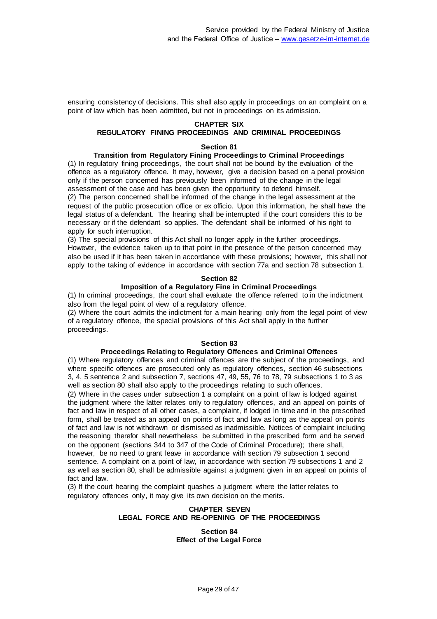ensuring consistency of decisions. This shall also apply in proceedings on an complaint on a point of law which has been admitted, but not in proceedings on its admission.

### **CHAPTER SIX**

# **REGULATORY FINING PROCEEDINGS AND CRIMINAL PROCEEDINGS**

#### **Section 81**

#### **Transition from Regulatory Fining Proceedings to Criminal Proceedings**

(1) In regulatory fining proceedings, the court shall not be bound by the evaluation of the offence as a regulatory offence. It may, however, give a decision based on a penal provision only if the person concerned has previously been informed of the change in the legal assessment of the case and has been given the opportunity to defend himself. (2) The person concerned shall be informed of the change in the legal assessment at the request of the public prosecution office or ex officio. Upon this information, he shall have the legal status of a defendant. The hearing shall be interrupted if the court considers this to be

necessary or if the defendant so applies. The defendant shall be informed of his right to apply for such interruption.

(3) The special provisions of this Act shall no longer apply in the further proceedings. However, the evidence taken up to that point in the presence of the person concerned may also be used if it has been taken in accordance with these provisions; however, this shall not apply to the taking of evidence in accordance with section 77a and section 78 subsection 1.

#### **Section 82**

#### **Imposition of a Regulatory Fine in Criminal Proceedings**

(1) In criminal proceedings, the court shall evaluate the offence referred to in the indictment also from the legal point of view of a regulatory offence.

(2) Where the court admits the indictment for a main hearing only from the legal point of view of a regulatory offence, the special provisions of this Act shall apply in the further proceedings.

#### **Section 83**

#### **Proceedings Relating to Regulatory Offences and Criminal Offences**

(1) Where regulatory offences and criminal offences are the subject of the proceedings, and where specific offences are prosecuted only as regulatory offences, section 46 subsections 3, 4, 5 sentence 2 and subsection 7, sections 47, 49, 55, 76 to 78, 79 subsections 1 to 3 as well as section 80 shall also apply to the proceedings relating to such offences.

(2) Where in the cases under subsection 1 a complaint on a point of law is lodged against the judgment where the latter relates only to regulatory offences, and an appeal on points of fact and law in respect of all other cases, a complaint, if lodged in time and in the prescribed form, shall be treated as an appeal on points of fact and law as long as the appeal on points of fact and law is not withdrawn or dismissed as inadmissible. Notices of complaint including the reasoning therefor shall nevertheless be submitted in the prescribed form and be served on the opponent (sections 344 to 347 of the Code of Criminal Procedure); there shall, however, be no need to grant leave in accordance with section 79 subsection 1 second sentence. A complaint on a point of law, in accordance with section 79 subsections 1 and 2 as well as section 80, shall be admissible against a judgment given in an appeal on points of

fact and law. (3) If the court hearing the complaint quashes a judgment where the latter relates to regulatory offences only, it may give its own decision on the merits.

### **CHAPTER SEVEN LEGAL FORCE AND RE-OPENING OF THE PROCEEDINGS**

#### **Section 84 Effect of the Legal Force**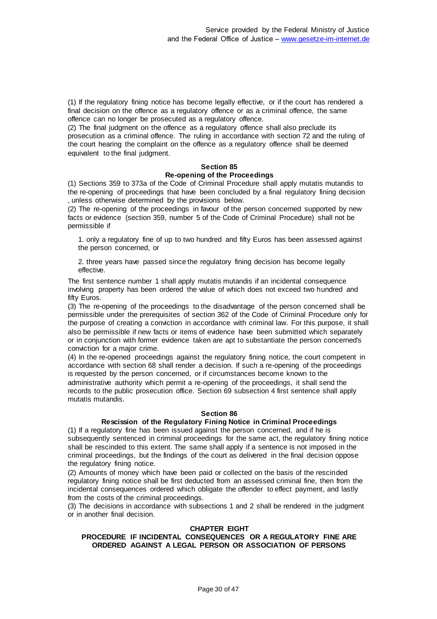(1) If the regulatory fining notice has become legally effective, or if the court has rendered a final decision on the offence as a regulatory offence or as a criminal offence, the same offence can no longer be prosecuted as a regulatory offence.

(2) The final judgment on the offence as a regulatory offence shall also preclude its prosecution as a criminal offence. The ruling in accordance with section 72 and the ruling of the court hearing the complaint on the offence as a regulatory offence shall be deemed equivalent to the final judgment.

### **Section 85 Re-opening of the Proceedings**

(1) Sections 359 to 373a of the Code of Criminal Procedure shall apply mutatis mutandis to the re-opening of proceedings that have been concluded by a final regulatory fining decision , unless otherwise determined by the provisions below.

(2) The re-opening of the proceedings in favour of the person concerned supported by new facts or evidence (section 359, number 5 of the Code of Criminal Procedure) shall not be permissible if

1. only a regulatory fine of up to two hundred and fifty Euros has been assessed against the person concerned, or

2. three years have passed since the regulatory fining decision has become legally effective.

The first sentence number 1 shall apply mutatis mutandis if an incidental consequence involving property has been ordered the value of which does not exceed two hundred and fifty Euros.

(3) The re-opening of the proceedings to the disadvantage of the person concerned shall be permissible under the prerequisites of section 362 of the Code of Criminal Procedure only for the purpose of creating a conviction in accordance with criminal law. For this purpose, it shall also be permissible if new facts or items of evidence have been submitted which separately or in conjunction with former evidence taken are apt to substantiate the person concerned's conviction for a major crime.

(4) In the re-opened proceedings against the regulatory fining notice, the court competent in accordance with section 68 shall render a decision. If such a re-opening of the proceedings is requested by the person concerned, or if circumstances become known to the administrative authority which permit a re-opening of the proceedings, it shall send the records to the public prosecution office. Section 69 subsection 4 first sentence shall apply mutatis mutandis.

### **Section 86**

# **Rescission of the Regulatory Fining Notice in Criminal Proceedings**

(1) If a regulatory fine has been issued against the person concerned, and if he is subsequently sentenced in criminal proceedings for the same act, the regulatory fining notice shall be rescinded to this extent. The same shall apply if a sentence is not imposed in the criminal proceedings, but the findings of the court as delivered in the final decision oppose the regulatory fining notice.

(2) Amounts of money which have been paid or collected on the basis of the rescinded regulatory fining notice shall be first deducted from an assessed criminal fine, then from the incidental consequences ordered which obligate the offender to effect payment, and lastly from the costs of the criminal proceedings.

(3) The decisions in accordance with subsections 1 and 2 shall be rendered in the judgment or in another final decision.

### **CHAPTER EIGHT**

### **PROCEDURE IF INCIDENTAL CONSEQUENCES OR A REGULATORY FINE ARE ORDERED AGAINST A LEGAL PERSON OR ASSOCIATION OF PERSONS**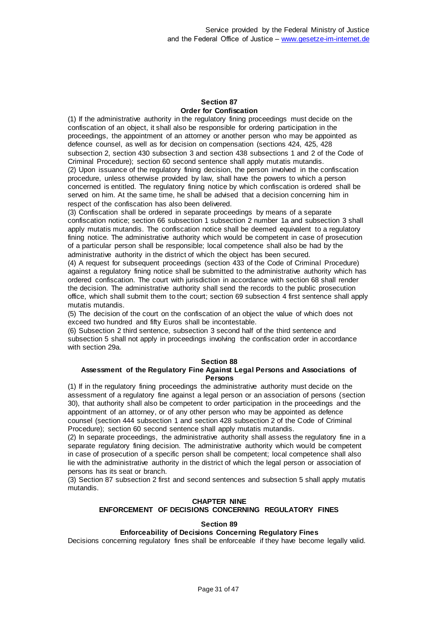### **Section 87 Order for Confiscation**

(1) If the administrative authority in the regulatory fining proceedings must decide on the confiscation of an object, it shall also be responsible for ordering participation in the proceedings, the appointment of an attorney or another person who may be appointed as defence counsel, as well as for decision on compensation (sections 424, 425, 428 subsection 2, section 430 subsection 3 and section 438 subsections 1 and 2 of the Code of Criminal Procedure); section 60 second sentence shall apply mutatis mutandis. (2) Upon issuance of the regulatory fining decision, the person involved in the confiscation procedure, unless otherwise provided by law, shall have the powers to which a person concerned is entitled. The regulatory fining notice by which confiscation is ordered shall be served on him. At the same time, he shall be advised that a decision concerning him in respect of the confiscation has also been delivered.

(3) Confiscation shall be ordered in separate proceedings by means of a separate confiscation notice; section 66 subsection 1 subsection 2 number 1a and subsection 3 shall apply mutatis mutandis. The confiscation notice shall be deemed equivalent to a regulatory fining notice. The administrative authority which would be competent in case of prosecution of a particular person shall be responsible; local competence shall also be had by the administrative authority in the district of which the object has been secured.

(4) A request for subsequent proceedings (section 433 of the Code of Criminal Procedure) against a regulatory fining notice shall be submitted to the administrative authority which has ordered confiscation. The court with jurisdiction in accordance with section 68 shall render the decision. The administrative authority shall send the records to the public prosecution office, which shall submit them to the court; section 69 subsection 4 first sentence shall apply mutatis mutandis.

(5) The decision of the court on the confiscation of an object the value of which does not exceed two hundred and fifty Euros shall be incontestable.

(6) Subsection 2 third sentence, subsection 3 second half of the third sentence and subsection 5 shall not apply in proceedings involving the confiscation order in accordance with section 29a.

### **Section 88**

### **Assessment of the Regulatory Fine Against Legal Persons and Associations of Persons**

(1) If in the regulatory fining proceedings the administrative authority must decide on the assessment of a regulatory fine against a legal person or an association of persons (section 30), that authority shall also be competent to order participation in the proceedings and the appointment of an attorney, or of any other person who may be appointed as defence counsel (section 444 subsection 1 and section 428 subsection 2 of the Code of Criminal Procedure); section 60 second sentence shall apply mutatis mutandis.

(2) In separate proceedings, the administrative authority shall assess the regulatory fine in a separate regulatory fining decision. The administrative authority which would be competent in case of prosecution of a specific person shall be competent; local competence shall also lie with the administrative authority in the district of which the legal person or association of persons has its seat or branch.

(3) Section 87 subsection 2 first and second sentences and subsection 5 shall apply mutatis mutandis.

# **CHAPTER NINE ENFORCEMENT OF DECISIONS CONCERNING REGULATORY FINES**

### **Section 89**

# **Enforceability of Decisions Concerning Regulatory Fines**

Decisions concerning regulatory fines shall be enforceable if they have become legally valid.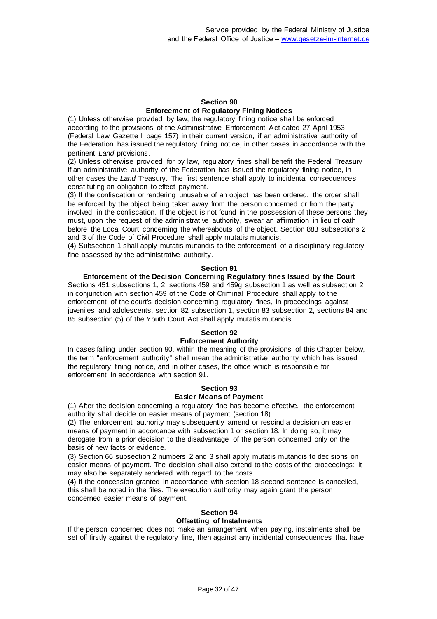#### **Section 90 Enforcement of Regulatory Fining Notices**

(1) Unless otherwise provided by law, the regulatory fining notice shall be enforced according to the provisions of the Administrative Enforcement Act dated 27 April 1953 (Federal Law Gazette I, page 157) in their current version, if an administrative authority of the Federation has issued the regulatory fining notice, in other cases in accordance with the pertinent *Land* provisions.

(2) Unless otherwise provided for by law, regulatory fines shall benefit the Federal Treasury if an administrative authority of the Federation has issued the regulatory fining notice, in other cases the *Land* Treasury. The first sentence shall apply to incidental consequences constituting an obligation to effect payment.

(3) If the confiscation or rendering unusable of an object has been ordered, the order shall be enforced by the object being taken away from the person concerned or from the party involved in the confiscation. If the object is not found in the possession of these persons they must, upon the request of the administrative authority, swear an affirmation in lieu of oath before the Local Court concerning the whereabouts of the object. Section 883 subsections 2 and 3 of the Code of Civil Procedure shall apply mutatis mutandis.

(4) Subsection 1 shall apply mutatis mutandis to the enforcement of a disciplinary regulatory fine assessed by the administrative authority.

### **Section 91**

### **Enforcement of the Decision Concerning Regulatory fines Issued by the Court**

Sections 451 subsections 1, 2, sections 459 and 459g subsection 1 as well as subsection 2 in conjunction with section 459 of the Code of Criminal Procedure shall apply to the enforcement of the court's decision concerning regulatory fines, in proceedings against juveniles and adolescents, section 82 subsection 1, section 83 subsection 2, sections 84 and 85 subsection (5) of the Youth Court Act shall apply mutatis mutandis.

# **Section 92**

# **Enforcement Authority**

In cases falling under section 90, within the meaning of the provisions of this Chapter below, the term "enforcement authority" shall mean the administrative authority which has issued the regulatory fining notice, and in other cases, the office which is responsible for enforcement in accordance with section 91.

### **Section 93 Easier Means of Payment**

(1) After the decision concerning a regulatory fine has become effective, the enforcement authority shall decide on easier means of payment (section 18).

(2) The enforcement authority may subsequently amend or rescind a decision on easier means of payment in accordance with subsection 1 or section 18. In doing so, it may derogate from a prior decision to the disadvantage of the person concerned only on the basis of new facts or evidence.

(3) Section 66 subsection 2 numbers 2 and 3 shall apply mutatis mutandis to decisions on easier means of payment. The decision shall also extend to the costs of the proceedings; it may also be separately rendered with regard to the costs.

(4) If the concession granted in accordance with section 18 second sentence is cancelled, this shall be noted in the files. The execution authority may again grant the person concerned easier means of payment.

#### **Section 94 Offsetting of Instalments**

If the person concerned does not make an arrangement when paying, instalments shall be set off firstly against the regulatory fine, then against any incidental consequences that have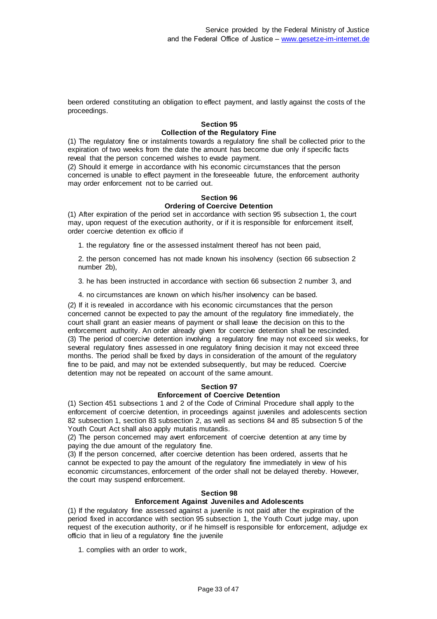been ordered constituting an obligation to effect payment, and lastly against the costs of the proceedings.

#### **Section 95 Collection of the Regulatory Fine**

(1) The regulatory fine or instalments towards a regulatory fine shall be collected prior to the expiration of two weeks from the date the amount has become due only if specific facts reveal that the person concerned wishes to evade payment.

(2) Should it emerge in accordance with his economic circumstances that the person concerned is unable to effect payment in the foreseeable future, the enforcement authority may order enforcement not to be carried out.

# **Section 96**

# **Ordering of Coercive Detention**

(1) After expiration of the period set in accordance with section 95 subsection 1, the court may, upon request of the execution authority, or if it is responsible for enforcement itself, order coercive detention ex officio if

1. the regulatory fine or the assessed instalment thereof has not been paid,

2. the person concerned has not made known his insolvency (section 66 subsection 2 number 2b),

3. he has been instructed in accordance with section 66 subsection 2 number 3, and

4. no circumstances are known on which his/her insolvency can be based.

(2) If it is revealed in accordance with his economic circumstances that the person concerned cannot be expected to pay the amount of the regulatory fine immediately, the court shall grant an easier means of payment or shall leave the decision on this to the enforcement authority. An order already given for coercive detention shall be rescinded. (3) The period of coercive detention involving a regulatory fine may not exceed six weeks, for several regulatory fines assessed in one regulatory fining decision it may not exceed three months. The period shall be fixed by days in consideration of the amount of the regulatory fine to be paid, and may not be extended subsequently, but may be reduced. Coercive detention may not be repeated on account of the same amount.

### **Section 97**

### **Enforcement of Coercive Detention**

(1) Section 451 subsections 1 and 2 of the Code of Criminal Procedure shall apply to the enforcement of coercive detention, in proceedings against juveniles and adolescents section 82 subsection 1, section 83 subsection 2, as well as sections 84 and 85 subsection 5 of the Youth Court Act shall also apply mutatis mutandis.

(2) The person concerned may avert enforcement of coercive detention at any time by paying the due amount of the regulatory fine.

(3) If the person concerned, after coercive detention has been ordered, asserts that he cannot be expected to pay the amount of the regulatory fine immediately in view of his economic circumstances, enforcement of the order shall not be delayed thereby. However, the court may suspend enforcement.

### **Section 98**

# **Enforcement Against Juveniles and Adolescents**

(1) If the regulatory fine assessed against a juvenile is not paid after the expiration of the period fixed in accordance with section 95 subsection 1, the Youth Court judge may, upon request of the execution authority, or if he himself is responsible for enforcement, adjudge ex officio that in lieu of a regulatory fine the juvenile

1. complies with an order to work,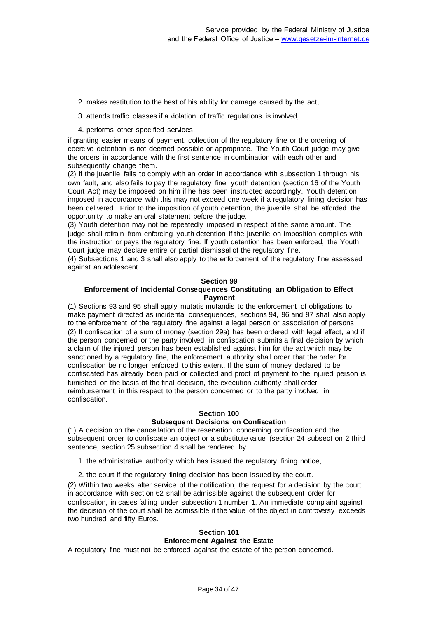- 2. makes restitution to the best of his ability for damage caused by the act,
- 3. attends traffic classes if a violation of traffic regulations is involved,
- 4. performs other specified services,

if granting easier means of payment, collection of the regulatory fine or the ordering of coercive detention is not deemed possible or appropriate. The Youth Court judge may give the orders in accordance with the first sentence in combination with each other and subsequently change them.

(2) If the juvenile fails to comply with an order in accordance with subsection 1 through his own fault, and also fails to pay the regulatory fine, youth detention (section 16 of the Youth Court Act) may be imposed on him if he has been instructed accordingly. Youth detention imposed in accordance with this may not exceed one week if a regulatory fining decision has been delivered. Prior to the imposition of youth detention, the juvenile shall be afforded the opportunity to make an oral statement before the judge.

(3) Youth detention may not be repeatedly imposed in respect of the same amount. The judge shall refrain from enforcing youth detention if the juvenile on imposition complies with the instruction or pays the regulatory fine. If youth detention has been enforced, the Youth Court judge may declare entire or partial dismissal of the regulatory fine.

(4) Subsections 1 and 3 shall also apply to the enforcement of the regulatory fine assessed against an adolescent.

#### **Section 99**

### **Enforcement of Incidental Consequences Constituting an Obligation to Effect Payment**

(1) Sections 93 and 95 shall apply mutatis mutandis to the enforcement of obligations to make payment directed as incidental consequences, sections 94, 96 and 97 shall also apply to the enforcement of the regulatory fine against a legal person or association of persons. (2) If confiscation of a sum of money (section 29a) has been ordered with legal effect, and if the person concerned or the party involved in confiscation submits a final decision by which a claim of the injured person has been established against him for the act which may be sanctioned by a regulatory fine, the enforcement authority shall order that the order for confiscation be no longer enforced to this extent. If the sum of money declared to be confiscated has already been paid or collected and proof of payment to the injured person is furnished on the basis of the final decision, the execution authority shall order reimbursement in this respect to the person concerned or to the party involved in confiscation.

# **Section 100**

# **Subsequent Decisions on Confiscation**

(1) A decision on the cancellation of the reservation concerning confiscation and the subsequent order to confiscate an object or a substitute value (section 24 subsection 2 third sentence, section 25 subsection 4 shall be rendered by

1. the administrative authority which has issued the regulatory fining notice,

2. the court if the regulatory fining decision has been issued by the court.

(2) Within two weeks after service of the notification, the request for a decision by the court in accordance with section 62 shall be admissible against the subsequent order for confiscation, in cases falling under subsection 1 number 1. An immediate complaint against the decision of the court shall be admissible if the value of the object in controversy exceeds two hundred and fifty Euros.

#### **Section 101 Enforcement Against the Estate**

A regulatory fine must not be enforced against the estate of the person concerned.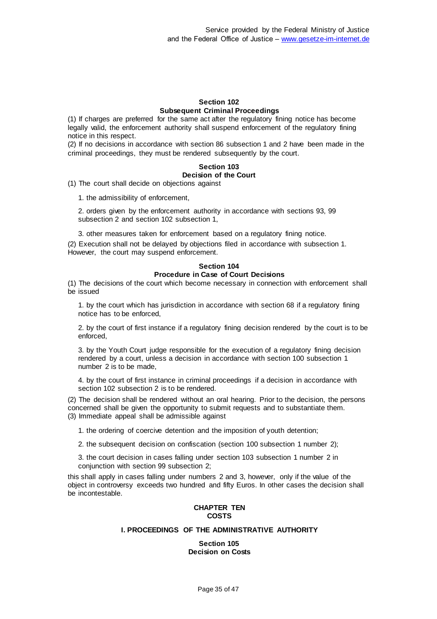### **Section 102 Subsequent Criminal Proceedings**

(1) If charges are preferred for the same act after the regulatory fining notice has become legally valid, the enforcement authority shall suspend enforcement of the regulatory fining notice in this respect.

(2) If no decisions in accordance with section 86 subsection 1 and 2 have been made in the criminal proceedings, they must be rendered subsequently by the court.

# **Section 103 Decision of the Court**

(1) The court shall decide on objections against

1. the admissibility of enforcement,

2. orders given by the enforcement authority in accordance with sections 93, 99 subsection 2 and section 102 subsection 1,

3. other measures taken for enforcement based on a regulatory fining notice.

(2) Execution shall not be delayed by objections filed in accordance with subsection 1. However, the court may suspend enforcement.

### **Section 104 Procedure in Case of Court Decisions**

(1) The decisions of the court which become necessary in connection with enforcement shall be issued

1. by the court which has jurisdiction in accordance with section 68 if a regulatory fining notice has to be enforced,

2. by the court of first instance if a regulatory fining decision rendered by the court is to be enforced,

3. by the Youth Court judge responsible for the execution of a regulatory fining decision rendered by a court, unless a decision in accordance with section 100 subsection 1 number 2 is to be made,

4. by the court of first instance in criminal proceedings if a decision in accordance with section 102 subsection 2 is to be rendered.

(2) The decision shall be rendered without an oral hearing. Prior to the decision, the persons concerned shall be given the opportunity to submit requests and to substantiate them. (3) Immediate appeal shall be admissible against

1. the ordering of coercive detention and the imposition of youth detention;

2. the subsequent decision on confiscation (section 100 subsection 1 number 2);

3. the court decision in cases falling under section 103 subsection 1 number 2 in conjunction with section 99 subsection 2;

this shall apply in cases falling under numbers 2 and 3, however, only if the value of the object in controversy exceeds two hundred and fifty Euros. In other cases the decision shall be incontestable.

# **CHAPTER TEN COSTS**

# **I. PROCEEDINGS OF THE ADMINISTRATIVE AUTHORITY**

**Section 105 Decision on Costs**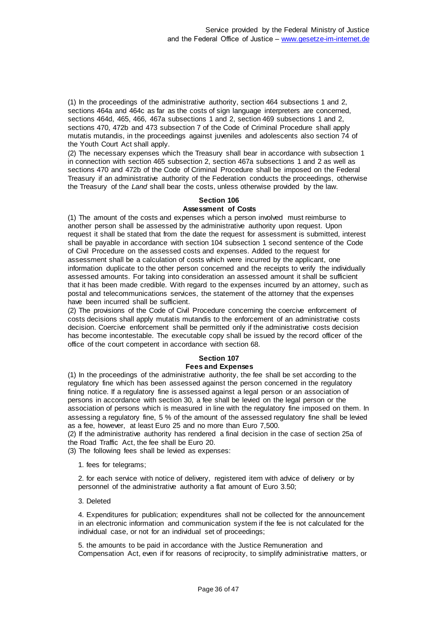(1) In the proceedings of the administrative authority, section 464 subsections 1 and 2, sections 464a and 464c as far as the costs of sign language interpreters are concerned, sections 464d, 465, 466, 467a subsections 1 and 2, section 469 subsections 1 and 2, sections 470, 472b and 473 subsection 7 of the Code of Criminal Procedure shall apply mutatis mutandis, in the proceedings against juveniles and adolescents also section 74 of the Youth Court Act shall apply.

(2) The necessary expenses which the Treasury shall bear in accordance with subsection 1 in connection with section 465 subsection 2, section 467a subsections 1 and 2 as well as sections 470 and 472b of the Code of Criminal Procedure shall be imposed on the Federal Treasury if an administrative authority of the Federation conducts the proceedings, otherwise the Treasury of the *Land* shall bear the costs, unless otherwise provided by the law.

#### **Section 106 Assessment of Costs**

(1) The amount of the costs and expenses which a person involved must reimburse to another person shall be assessed by the administrative authority upon request. Upon request it shall be stated that from the date the request for assessment is submitted, interest shall be payable in accordance with section 104 subsection 1 second sentence of the Code of Civil Procedure on the assessed costs and expenses. Added to the request for assessment shall be a calculation of costs which were incurred by the applicant, one information duplicate to the other person concerned and the receipts to verify the individually assessed amounts. For taking into consideration an assessed amount it shall be sufficient that it has been made credible. With regard to the expenses incurred by an attorney, such as postal and telecommunications services, the statement of the attorney that the expenses have been incurred shall be sufficient.

(2) The provisions of the Code of Civil Procedure concerning the coercive enforcement of costs decisions shall apply mutatis mutandis to the enforcement of an administrative costs decision. Coercive enforcement shall be permitted only if the administrative costs decision has become incontestable. The executable copy shall be issued by the record officer of the office of the court competent in accordance with section 68.

# **Section 107**

# **Fees and Expenses**

(1) In the proceedings of the administrative authority, the fee shall be set according to the regulatory fine which has been assessed against the person concerned in the regulatory fining notice. If a regulatory fine is assessed against a legal person or an association of persons in accordance with section 30, a fee shall be levied on the legal person or the association of persons which is measured in line with the regulatory fine imposed on them. In assessing a regulatory fine, 5 % of the amount of the assessed regulatory fine shall be levied as a fee, however, at least Euro 25 and no more than Euro 7,500.

(2) If the administrative authority has rendered a final decision in the case of section 25a of the Road Traffic Act, the fee shall be Euro 20.

(3) The following fees shall be levied as expenses:

1. fees for telegrams;

2. for each service with notice of delivery, registered item with advice of delivery or by personnel of the administrative authority a flat amount of Euro 3.50;

3. Deleted

4. Expenditures for publication; expenditures shall not be collected for the announcement in an electronic information and communication system if the fee is not calculated for the individual case, or not for an individual set of proceedings;

5. the amounts to be paid in accordance with the Justice Remuneration and Compensation Act, even if for reasons of reciprocity, to simplify administrative matters, or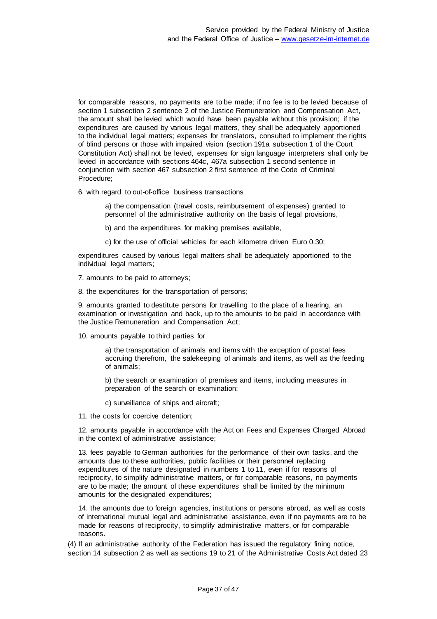for comparable reasons, no payments are to be made; if no fee is to be levied because of section 1 subsection 2 sentence 2 of the Justice Remuneration and Compensation Act, the amount shall be levied which would have been payable without this provision; if the expenditures are caused by various legal matters, they shall be adequately apportioned to the individual legal matters; expenses for translators, consulted to implement the rights of blind persons or those with impaired vision (section 191a subsection 1 of the Court Constitution Act) shall not be levied, expenses for sign language interpreters shall only be levied in accordance with sections 464c, 467a subsection 1 second sentence in conjunction with section 467 subsection 2 first sentence of the Code of Criminal Procedure;

6. with regard to out-of-office business transactions

a) the compensation (travel costs, reimbursement of expenses) granted to personnel of the administrative authority on the basis of legal provisions,

b) and the expenditures for making premises available,

c) for the use of official vehicles for each kilometre driven Euro 0.30;

expenditures caused by various legal matters shall be adequately apportioned to the individual legal matters;

7. amounts to be paid to attorneys;

8. the expenditures for the transportation of persons;

9. amounts granted to destitute persons for travelling to the place of a hearing, an examination or investigation and back, up to the amounts to be paid in accordance with the Justice Remuneration and Compensation Act;

10. amounts payable to third parties for

a) the transportation of animals and items with the exception of postal fees accruing therefrom, the safekeeping of animals and items, as well as the feeding of animals;

b) the search or examination of premises and items, including measures in preparation of the search or examination;

c) surveillance of ships and aircraft;

11. the costs for coercive detention;

12. amounts payable in accordance with the Act on Fees and Expenses Charged Abroad in the context of administrative assistance;

13. fees payable to German authorities for the performance of their own tasks, and the amounts due to these authorities, public facilities or their personnel replacing expenditures of the nature designated in numbers 1 to 11, even if for reasons of reciprocity, to simplify administrative matters, or for comparable reasons, no payments are to be made; the amount of these expenditures shall be limited by the minimum amounts for the designated expenditures;

14. the amounts due to foreign agencies, institutions or persons abroad, as well as costs of international mutual legal and administrative assistance, even if no payments are to be made for reasons of reciprocity, to simplify administrative matters, or for comparable reasons.

(4) If an administrative authority of the Federation has issued the regulatory fining notice, section 14 subsection 2 as well as sections 19 to 21 of the Administrative Costs Act dated 23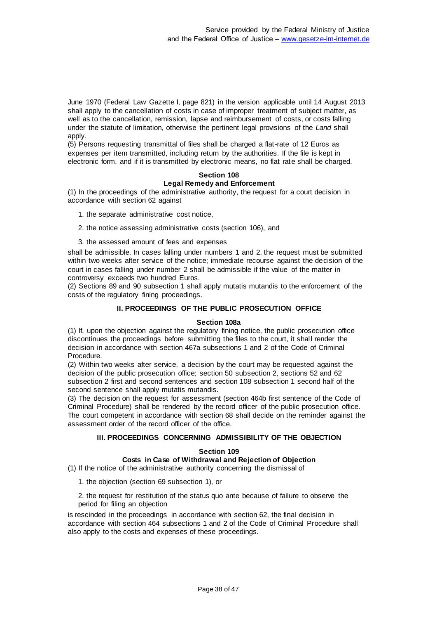June 1970 (Federal Law Gazette I, page 821) in the version applicable until 14 August 2013 shall apply to the cancellation of costs in case of improper treatment of subject matter, as well as to the cancellation, remission, lapse and reimbursement of costs, or costs falling under the statute of limitation, otherwise the pertinent legal provisions of the *Land* shall apply.

(5) Persons requesting transmittal of files shall be charged a flat-rate of 12 Euros as expenses per item transmitted, including return by the authorities. If the file is kept in electronic form, and if it is transmitted by electronic means, no flat rate shall be charged.

# **Section 108**

# **Legal Remedy and Enforcement**

(1) In the proceedings of the administrative authority, the request for a court decision in accordance with section 62 against

- 1. the separate administrative cost notice,
- 2. the notice assessing administrative costs (section 106), and
- 3. the assessed amount of fees and expenses

shall be admissible. In cases falling under numbers 1 and 2, the request must be submitted within two weeks after service of the notice; immediate recourse against the decision of the court in cases falling under number 2 shall be admissible if the value of the matter in controversy exceeds two hundred Euros.

(2) Sections 89 and 90 subsection 1 shall apply mutatis mutandis to the enforcement of the costs of the regulatory fining proceedings.

### **II. PROCEEDINGS OF THE PUBLIC PROSECUTION OFFICE**

### **Section 108a**

(1) If, upon the objection against the regulatory fining notice, the public prosecution office discontinues the proceedings before submitting the files to the court, it shall render the decision in accordance with section 467a subsections 1 and 2 of the Code of Criminal Procedure.

(2) Within two weeks after service, a decision by the court may be requested against the decision of the public prosecution office; section 50 subsection 2, sections 52 and 62 subsection 2 first and second sentences and section 108 subsection 1 second half of the second sentence shall apply mutatis mutandis.

(3) The decision on the request for assessment (section 464b first sentence of the Code of Criminal Procedure) shall be rendered by the record officer of the public prosecution office. The court competent in accordance with section 68 shall decide on the reminder against the assessment order of the record officer of the office.

### **III. PROCEEDINGS CONCERNING ADMISSIBILITY OF THE OBJECTION**

#### **Section 109**

### **Costs in Case of Withdrawal and Rejection of Objection**

(1) If the notice of the administrative authority concerning the dismissal of

1. the objection (section 69 subsection 1), or

2. the request for restitution of the status quo ante because of failure to observe the period for filing an objection

is rescinded in the proceedings in accordance with section 62, the final decision in accordance with section 464 subsections 1 and 2 of the Code of Criminal Procedure shall also apply to the costs and expenses of these proceedings.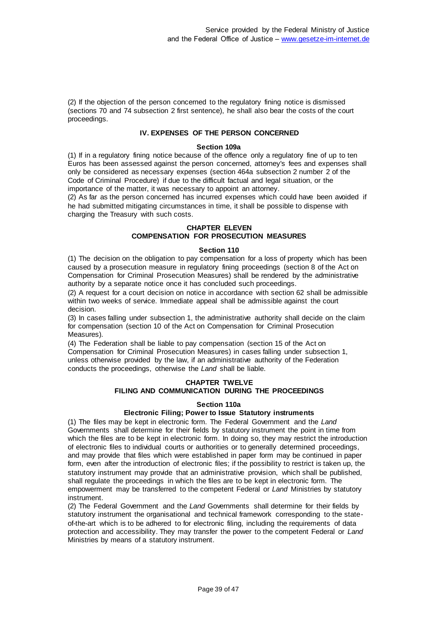(2) If the objection of the person concerned to the regulatory fining notice is dismissed (sections 70 and 74 subsection 2 first sentence), he shall also bear the costs of the court proceedings.

# **IV. EXPENSES OF THE PERSON CONCERNED**

#### **Section 109a**

(1) If in a regulatory fining notice because of the offence only a regulatory fine of up to ten Euros has been assessed against the person concerned, attorney's fees and expenses shall only be considered as necessary expenses (section 464a subsection 2 number 2 of the Code of Criminal Procedure) if due to the difficult factual and legal situation, or the importance of the matter, it was necessary to appoint an attorney.

(2) As far as the person concerned has incurred expenses which could have been avoided if he had submitted mitigating circumstances in time, it shall be possible to dispense with charging the Treasury with such costs.

# **CHAPTER ELEVEN COMPENSATION FOR PROSECUTION MEASURES**

#### **Section 110**

(1) The decision on the obligation to pay compensation for a loss of property which has been caused by a prosecution measure in regulatory fining proceedings (section 8 of the Act on Compensation for Criminal Prosecution Measures) shall be rendered by the administrative authority by a separate notice once it has concluded such proceedings.

(2) A request for a court decision on notice in accordance with section 62 shall be admissible within two weeks of service. Immediate appeal shall be admissible against the court decision.

(3) In cases falling under subsection 1, the administrative authority shall decide on the claim for compensation (section 10 of the Act on Compensation for Criminal Prosecution Measures).

(4) The Federation shall be liable to pay compensation (section 15 of the Act on Compensation for Criminal Prosecution Measures) in cases falling under subsection 1, unless otherwise provided by the law, if an administrative authority of the Federation conducts the proceedings, otherwise the *Land* shall be liable.

# **CHAPTER TWELVE FILING AND COMMUNICATION DURING THE PROCEEDINGS**

### **Section 110a**

# **Electronic Filing; Power to Issue Statutory instruments**

(1) The files may be kept in electronic form. The Federal Government and the *Land* Governments shall determine for their fields by statutory instrument the point in time from which the files are to be kept in electronic form. In doing so, they may restrict the introduction of electronic files to individual courts or authorities or to generally determined proceedings, and may provide that files which were established in paper form may be continued in paper form, even after the introduction of electronic files; if the possibility to restrict is taken up, the statutory instrument may provide that an administrative provision, which shall be published, shall regulate the proceedings in which the files are to be kept in electronic form. The empowerment may be transferred to the competent Federal or *Land* Ministries by statutory instrument.

(2) The Federal Government and the *Land* Governments shall determine for their fields by statutory instrument the organisational and technical framework corresponding to the stateof-the-art which is to be adhered to for electronic filing, including the requirements of data protection and accessibility. They may transfer the power to the competent Federal or *Land* Ministries by means of a statutory instrument.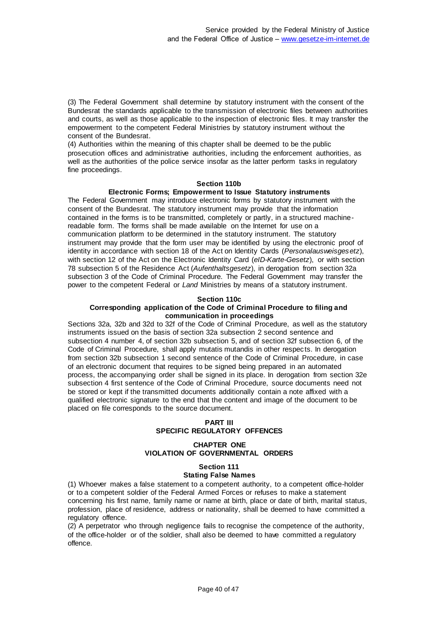(3) The Federal Government shall determine by statutory instrument with the consent of the Bundesrat the standards applicable to the transmission of electronic files between authorities and courts, as well as those applicable to the inspection of electronic files. It may transfer the empowerment to the competent Federal Ministries by statutory instrument without the consent of the Bundesrat.

(4) Authorities within the meaning of this chapter shall be deemed to be the public prosecution offices and administrative authorities, including the enforcement authorities, as well as the authorities of the police service insofar as the latter perform tasks in regulatory fine proceedings.

#### **Section 110b**

#### **Electronic Forms; Empowerment to Issue Statutory instruments**

The Federal Government may introduce electronic forms by statutory instrument with the consent of the Bundesrat. The statutory instrument may provide that the information contained in the forms is to be transmitted, completely or partly, in a structured machinereadable form. The forms shall be made available on the Internet for use on a communication platform to be determined in the statutory instrument. The statutory instrument may provide that the form user may be identified by using the electronic proof of identity in accordance with section 18 of the Act on Identity Cards (*Personalausweisgesetz*), with section 12 of the Act on the Electronic Identity Card (*eID-Karte-Gesetz*), or with section 78 subsection 5 of the Residence Act (*Aufenthaltsgesetz*), in derogation from section 32a subsection 3 of the Code of Criminal Procedure. The Federal Government may transfer the power to the competent Federal or *Land* Ministries by means of a statutory instrument.

#### **Section 110c**

### **Corresponding application of the Code of Criminal Procedure to filing and communication in proceedings**

Sections 32a, 32b and 32d to 32f of the Code of Criminal Procedure, as well as the statutory instruments issued on the basis of section 32a subsection 2 second sentence and subsection 4 number 4, of section 32b subsection 5, and of section 32f subsection 6, of the Code of Criminal Procedure, shall apply mutatis mutandis in other respects. In derogation from section 32b subsection 1 second sentence of the Code of Criminal Procedure, in case of an electronic document that requires to be signed being prepared in an automated process, the accompanying order shall be signed in its place. In derogation from section 32e subsection 4 first sentence of the Code of Criminal Procedure, source documents need not be stored or kept if the transmitted documents additionally contain a note affixed with a qualified electronic signature to the end that the content and image of the document to be placed on file corresponds to the source document.

### **PART III SPECIFIC REGULATORY OFFENCES**

### **CHAPTER ONE VIOLATION OF GOVERNMENTAL ORDERS**

# **Section 111**

### **Stating False Names**

(1) Whoever makes a false statement to a competent authority, to a competent office-holder or to a competent soldier of the Federal Armed Forces or refuses to make a statement concerning his first name, family name or name at birth, place or date of birth, marital status, profession, place of residence, address or nationality, shall be deemed to have committed a regulatory offence.

(2) A perpetrator who through negligence fails to recognise the competence of the authority, of the office-holder or of the soldier, shall also be deemed to have committed a regulatory offence.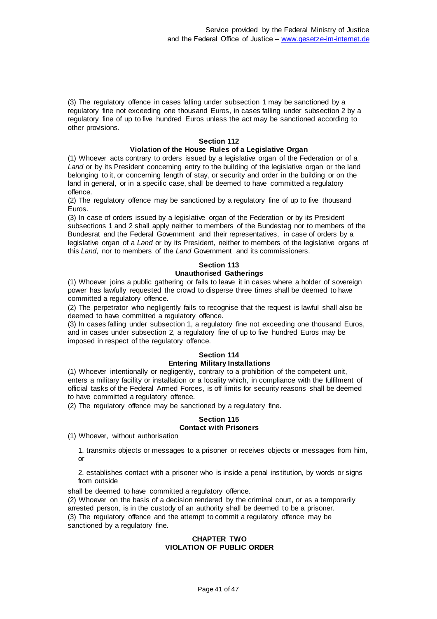(3) The regulatory offence in cases falling under subsection 1 may be sanctioned by a regulatory fine not exceeding one thousand Euros, in cases falling under subsection 2 by a regulatory fine of up to five hundred Euros unless the act may be sanctioned according to other provisions.

# **Section 112**

# **Violation of the House Rules of a Legislative Organ**

(1) Whoever acts contrary to orders issued by a legislative organ of the Federation or of a *Land* or by its President concerning entry to the building of the legislative organ or the land belonging to it, or concerning length of stay, or security and order in the building or on the land in general, or in a specific case, shall be deemed to have committed a regulatory offence.

(2) The regulatory offence may be sanctioned by a regulatory fine of up to five thousand Euros.

(3) In case of orders issued by a legislative organ of the Federation or by its President subsections 1 and 2 shall apply neither to members of the Bundestag nor to members of the Bundesrat and the Federal Government and their representatives, in case of orders by a legislative organ of a *Land* or by its President, neither to members of the legislative organs of this *Land*, nor to members of the *Land* Government and its commissioners.

# **Section 113 Unauthorised Gatherings**

(1) Whoever joins a public gathering or fails to leave it in cases where a holder of sovereign power has lawfully requested the crowd to disperse three times shall be deemed to have committed a regulatory offence.

(2) The perpetrator who negligently fails to recognise that the request is lawful shall also be deemed to have committed a regulatory offence.

(3) In cases falling under subsection 1, a regulatory fine not exceeding one thousand Euros, and in cases under subsection 2, a regulatory fine of up to five hundred Euros may be imposed in respect of the regulatory offence.

### **Section 114 Entering Military Installations**

(1) Whoever intentionally or negligently, contrary to a prohibition of the competent unit, enters a military facility or installation or a locality which, in compliance with the fulfilment of official tasks of the Federal Armed Forces, is off limits for security reasons shall be deemed to have committed a regulatory offence.

(2) The regulatory offence may be sanctioned by a regulatory fine.

### **Section 115 Contact with Prisoners**

(1) Whoever, without authorisation

1. transmits objects or messages to a prisoner or receives objects or messages from him, or

2. establishes contact with a prisoner who is inside a penal institution, by words or signs from outside

shall be deemed to have committed a regulatory offence.

(2) Whoever on the basis of a decision rendered by the criminal court, or as a temporarily arrested person, is in the custody of an authority shall be deemed to be a prisoner. (3) The regulatory offence and the attempt to commit a regulatory offence may be sanctioned by a regulatory fine.

### **CHAPTER TWO VIOLATION OF PUBLIC ORDER**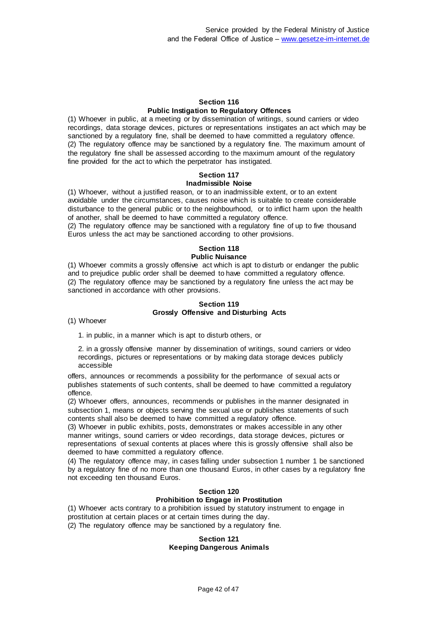#### **Section 116 Public Instigation to Regulatory Offences**

(1) Whoever in public, at a meeting or by dissemination of writings, sound carriers or video recordings, data storage devices, pictures or representations instigates an act which may be sanctioned by a regulatory fine, shall be deemed to have committed a regulatory offence. (2) The regulatory offence may be sanctioned by a regulatory fine. The maximum amount of the regulatory fine shall be assessed according to the maximum amount of the regulatory fine provided for the act to which the perpetrator has instigated.

#### **Section 117 Inadmissible Noise**

(1) Whoever, without a justified reason, or to an inadmissible extent, or to an extent avoidable under the circumstances, causes noise which is suitable to create considerable disturbance to the general public or to the neighbourhood, or to inflict harm upon the health of another, shall be deemed to have committed a regulatory offence.

(2) The regulatory offence may be sanctioned with a regulatory fine of up to five thousand Euros unless the act may be sanctioned according to other provisions.

# **Section 118**

# **Public Nuisance**

(1) Whoever commits a grossly offensive act which is apt to disturb or endanger the public and to prejudice public order shall be deemed to have committed a regulatory offence. (2) The regulatory offence may be sanctioned by a regulatory fine unless the act may be sanctioned in accordance with other provisions.

### **Section 119 Grossly Offensive and Disturbing Acts**

(1) Whoever

1. in public, in a manner which is apt to disturb others, or

2. in a grossly offensive manner by dissemination of writings, sound carriers or video recordings, pictures or representations or by making data storage devices publicly accessible

offers, announces or recommends a possibility for the performance of sexual acts or publishes statements of such contents, shall be deemed to have committed a regulatory offence.

(2) Whoever offers, announces, recommends or publishes in the manner designated in subsection 1, means or objects serving the sexual use or publishes statements of such contents shall also be deemed to have committed a regulatory offence.

(3) Whoever in public exhibits, posts, demonstrates or makes accessible in any other manner writings, sound carriers or video recordings, data storage devices, pictures or representations of sexual contents at places where this is grossly offensive shall also be deemed to have committed a regulatory offence.

(4) The regulatory offence may, in cases falling under subsection 1 number 1 be sanctioned by a regulatory fine of no more than one thousand Euros, in other cases by a regulatory fine not exceeding ten thousand Euros.

#### **Section 120 Prohibition to Engage in Prostitution**

(1) Whoever acts contrary to a prohibition issued by statutory instrument to engage in prostitution at certain places or at certain times during the day.

(2) The regulatory offence may be sanctioned by a regulatory fine.

### **Section 121 Keeping Dangerous Animals**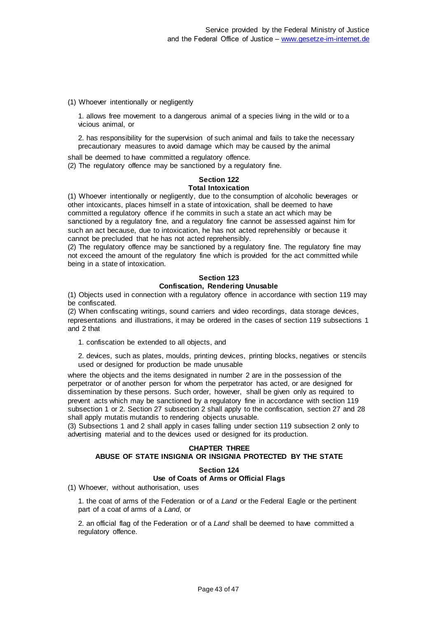(1) Whoever intentionally or negligently

1. allows free movement to a dangerous animal of a species living in the wild or to a vicious animal, or

2. has responsibility for the supervision of such animal and fails to take the necessary precautionary measures to avoid damage which may be caused by the animal

shall be deemed to have committed a regulatory offence.

(2) The regulatory offence may be sanctioned by a regulatory fine.

#### **Section 122 Total Intoxication**

(1) Whoever intentionally or negligently, due to the consumption of alcoholic beverages or other intoxicants, places himself in a state of intoxication, shall be deemed to have committed a regulatory offence if he commits in such a state an act which may be sanctioned by a regulatory fine, and a regulatory fine cannot be assessed against him for such an act because, due to intoxication, he has not acted reprehensibly or because it cannot be precluded that he has not acted reprehensibly.

(2) The regulatory offence may be sanctioned by a regulatory fine. The regulatory fine may not exceed the amount of the regulatory fine which is provided for the act committed while being in a state of intoxication.

#### **Section 123 Confiscation, Rendering Unusable**

(1) Objects used in connection with a regulatory offence in accordance with section 119 may be confiscated.

(2) When confiscating writings, sound carriers and video recordings, data storage devices, representations and illustrations, it may be ordered in the cases of section 119 subsections 1 and 2 that

1. confiscation be extended to all objects, and

2. devices, such as plates, moulds, printing devices, printing blocks, negatives or stencils used or designed for production be made unusable

where the objects and the items designated in number 2 are in the possession of the perpetrator or of another person for whom the perpetrator has acted, or are designed for dissemination by these persons. Such order, however, shall be given only as required to prevent acts which may be sanctioned by a regulatory fine in accordance with section 119 subsection 1 or 2. Section 27 subsection 2 shall apply to the confiscation, section 27 and 28 shall apply mutatis mutandis to rendering objects unusable.

(3) Subsections 1 and 2 shall apply in cases falling under section 119 subsection 2 only to advertising material and to the devices used or designed for its production.

# **CHAPTER THREE ABUSE OF STATE INSIGNIA OR INSIGNIA PROTECTED BY THE STATE**

### **Section 124**

# **Use of Coats of Arms or Official Flags**

(1) Whoever, without authorisation, uses

1. the coat of arms of the Federation or of a *Land* or the Federal Eagle or the pertinent part of a coat of arms of a *Land*, or

2. an official flag of the Federation or of a *Land* shall be deemed to have committed a regulatory offence.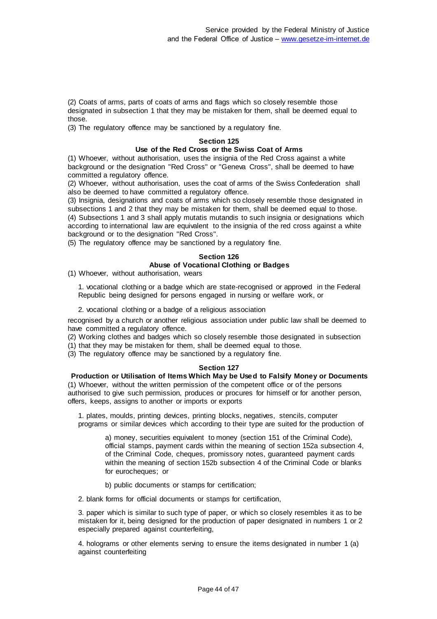(2) Coats of arms, parts of coats of arms and flags which so closely resemble those designated in subsection 1 that they may be mistaken for them, shall be deemed equal to those.

(3) The regulatory offence may be sanctioned by a regulatory fine.

#### **Section 125**

## **Use of the Red Cross or the Swiss Coat of Arms**

(1) Whoever, without authorisation, uses the insignia of the Red Cross against a white background or the designation "Red Cross" or "Geneva Cross", shall be deemed to have committed a regulatory offence.

(2) Whoever, without authorisation, uses the coat of arms of the Swiss Confederation shall also be deemed to have committed a regulatory offence.

(3) Insignia, designations and coats of arms which so closely resemble those designated in subsections 1 and 2 that they may be mistaken for them, shall be deemed equal to those. (4) Subsections 1 and 3 shall apply mutatis mutandis to such insignia or designations which according to international law are equivalent to the insignia of the red cross against a white background or to the designation "Red Cross".

(5) The regulatory offence may be sanctioned by a regulatory fine.

# **Section 126 Abuse of Vocational Clothing or Badges**

(1) Whoever, without authorisation, wears

1. vocational clothing or a badge which are state-recognised or approved in the Federal Republic being designed for persons engaged in nursing or welfare work, or

2. vocational clothing or a badge of a religious association

recognised by a church or another religious association under public law shall be deemed to have committed a regulatory offence.

(2) Working clothes and badges which so closely resemble those designated in subsection

(1) that they may be mistaken for them, shall be deemed equal to those.

(3) The regulatory offence may be sanctioned by a regulatory fine.

### **Section 127**

**Production or Utilisation of Items Which May be Used to Falsify Money or Documents** (1) Whoever, without the written permission of the competent office or of the persons authorised to give such permission, produces or procures for himself or for another person, offers, keeps, assigns to another or imports or exports

1. plates, moulds, printing devices, printing blocks, negatives, stencils, computer programs or similar devices which according to their type are suited for the production of

a) money, securities equivalent to money (section 151 of the Criminal Code), official stamps, payment cards within the meaning of section 152a subsection 4, of the Criminal Code, cheques, promissory notes, guaranteed payment cards within the meaning of section 152b subsection 4 of the Criminal Code or blanks for eurocheques; or

b) public documents or stamps for certification;

2. blank forms for official documents or stamps for certification,

3. paper which is similar to such type of paper, or which so closely resembles it as to be mistaken for it, being designed for the production of paper designated in numbers 1 or 2 especially prepared against counterfeiting,

4. holograms or other elements serving to ensure the items designated in number 1 (a) against counterfeiting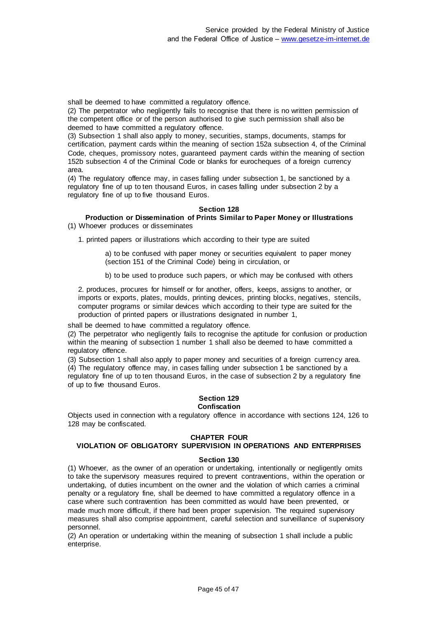shall be deemed to have committed a regulatory offence.

(2) The perpetrator who negligently fails to recognise that there is no written permission of the competent office or of the person authorised to give such permission shall also be deemed to have committed a regulatory offence.

(3) Subsection 1 shall also apply to money, securities, stamps, documents, stamps for certification, payment cards within the meaning of section 152a subsection 4, of the Criminal Code, cheques, promissory notes, guaranteed payment cards within the meaning of section 152b subsection 4 of the Criminal Code or blanks for eurocheques of a foreign currency area.

(4) The regulatory offence may, in cases falling under subsection 1, be sanctioned by a regulatory fine of up to ten thousand Euros, in cases falling under subsection 2 by a regulatory fine of up to five thousand Euros.

#### **Section 128**

**Production or Dissemination of Prints Similar to Paper Money or Illustrations** (1) Whoever produces or disseminates

1. printed papers or illustrations which according to their type are suited

a) to be confused with paper money or securities equivalent to paper money (section 151 of the Criminal Code) being in circulation, or

b) to be used to produce such papers, or which may be confused with others

2. produces, procures for himself or for another, offers, keeps, assigns to another, or imports or exports, plates, moulds, printing devices, printing blocks, negatives, stencils, computer programs or similar devices which according to their type are suited for the production of printed papers or illustrations designated in number 1,

shall be deemed to have committed a regulatory offence.

(2) The perpetrator who negligently fails to recognise the aptitude for confusion or production within the meaning of subsection 1 number 1 shall also be deemed to have committed a regulatory offence.

(3) Subsection 1 shall also apply to paper money and securities of a foreign currency area. (4) The regulatory offence may, in cases falling under subsection 1 be sanctioned by a regulatory fine of up to ten thousand Euros, in the case of subsection 2 by a regulatory fine of up to five thousand Euros.

#### **Section 129 Confiscation**

Objects used in connection with a regulatory offence in accordance with sections 124, 126 to 128 may be confiscated.

### **CHAPTER FOUR**

# **VIOLATION OF OBLIGATORY SUPERVISION IN OPERATIONS AND ENTERPRISES**

### **Section 130**

(1) Whoever, as the owner of an operation or undertaking, intentionally or negligently omits to take the supervisory measures required to prevent contraventions, within the operation or undertaking, of duties incumbent on the owner and the violation of which carries a criminal penalty or a regulatory fine, shall be deemed to have committed a regulatory offence in a case where such contravention has been committed as would have been prevented, or made much more difficult, if there had been proper supervision. The required supervisory measures shall also comprise appointment, careful selection and surveillance of supervisory personnel.

(2) An operation or undertaking within the meaning of subsection 1 shall include a public enterprise.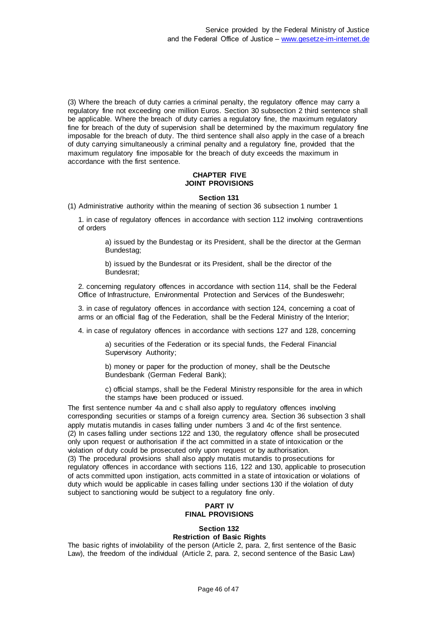(3) Where the breach of duty carries a criminal penalty, the regulatory offence may carry a regulatory fine not exceeding one million Euros. Section 30 subsection 2 third sentence shall be applicable. Where the breach of duty carries a regulatory fine, the maximum regulatory fine for breach of the duty of supervision shall be determined by the maximum regulatory fine imposable for the breach of duty. The third sentence shall also apply in the case of a breach of duty carrying simultaneously a criminal penalty and a regulatory fine, provided that the maximum regulatory fine imposable for the breach of duty exceeds the maximum in accordance with the first sentence.

### **CHAPTER FIVE JOINT PROVISIONS**

### **Section 131**

(1) Administrative authority within the meaning of section 36 subsection 1 number 1

1. in case of regulatory offences in accordance with section 112 involving contraventions of orders

a) issued by the Bundestag or its President, shall be the director at the German Bundestag;

b) issued by the Bundesrat or its President, shall be the director of the Bundesrat;

2. concerning regulatory offences in accordance with section 114, shall be the Federal Office of Infrastructure, Environmental Protection and Services of the Bundeswehr;

3. in case of regulatory offences in accordance with section 124, concerning a coat of arms or an official flag of the Federation, shall be the Federal Ministry of the Interior;

4. in case of regulatory offences in accordance with sections 127 and 128, concerning

a) securities of the Federation or its special funds, the Federal Financial Supervisory Authority;

b) money or paper for the production of money, shall be the Deutsche Bundesbank (German Federal Bank);

c) official stamps, shall be the Federal Ministry responsible for the area in which the stamps have been produced or issued.

The first sentence number 4a and c shall also apply to regulatory offences involving corresponding securities or stamps of a foreign currency area. Section 36 subsection 3 shall apply mutatis mutandis in cases falling under numbers 3 and 4c of the first sentence. (2) In cases falling under sections 122 and 130, the regulatory offence shall be prosecuted only upon request or authorisation if the act committed in a state of intoxication or the violation of duty could be prosecuted only upon request or by authorisation. (3) The procedural provisions shall also apply mutatis mutandis to prosecutions for regulatory offences in accordance with sections 116, 122 and 130, applicable to prosecution of acts committed upon instigation, acts committed in a state of intoxication or violations of duty which would be applicable in cases falling under sections 130 if the violation of duty subject to sanctioning would be subject to a regulatory fine only.

# **PART IV FINAL PROVISIONS**

#### **Section 132 Restriction of Basic Rights**

The basic rights of inviolability of the person (Article 2, para. 2, first sentence of the Basic Law), the freedom of the individual (Article 2, para. 2, second sentence of the Basic Law)